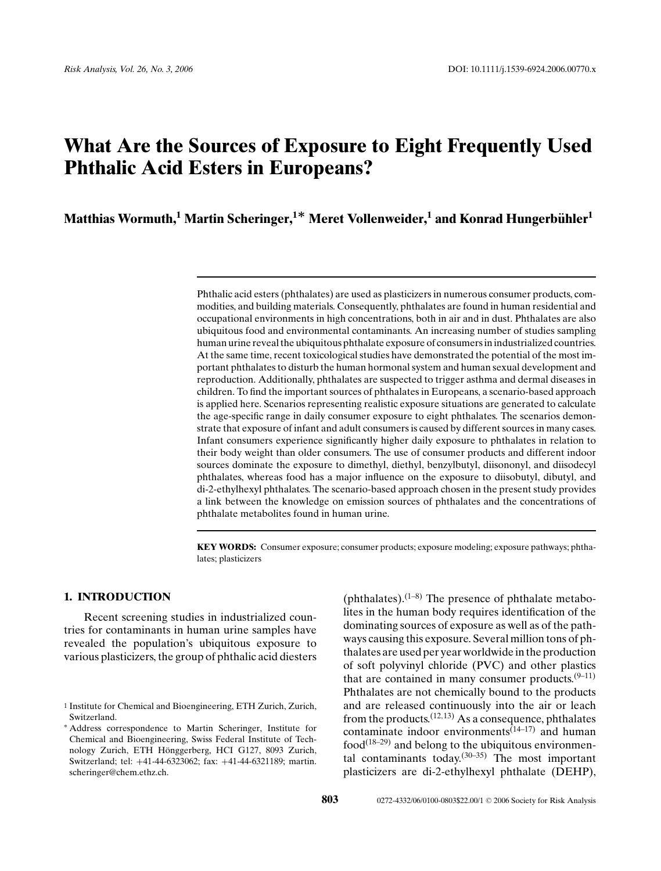# **What Are the Sources of Exposure to Eight Frequently Used Phthalic Acid Esters in Europeans?**

**Matthias Wormuth,<sup>1</sup> Martin Scheringer,<sup>1\*</sup> Meret Vollenweider,<sup>1</sup> and Konrad Hungerbühler<sup>1</sup>** 

Phthalic acid esters (phthalates) are used as plasticizers in numerous consumer products, commodities, and building materials. Consequently, phthalates are found in human residential and occupational environments in high concentrations, both in air and in dust. Phthalates are also ubiquitous food and environmental contaminants. An increasing number of studies sampling human urine reveal the ubiquitous phthalate exposure of consumers in industrialized countries. At the same time, recent toxicological studies have demonstrated the potential of the most important phthalates to disturb the human hormonal system and human sexual development and reproduction. Additionally, phthalates are suspected to trigger asthma and dermal diseases in children. To find the important sources of phthalates in Europeans, a scenario-based approach is applied here. Scenarios representing realistic exposure situations are generated to calculate the age-specific range in daily consumer exposure to eight phthalates. The scenarios demonstrate that exposure of infant and adult consumers is caused by different sources in many cases. Infant consumers experience significantly higher daily exposure to phthalates in relation to their body weight than older consumers. The use of consumer products and different indoor sources dominate the exposure to dimethyl, diethyl, benzylbutyl, diisononyl, and diisodecyl phthalates, whereas food has a major influence on the exposure to diisobutyl, dibutyl, and di-2-ethylhexyl phthalates. The scenario-based approach chosen in the present study provides a link between the knowledge on emission sources of phthalates and the concentrations of phthalate metabolites found in human urine.

**KEY WORDS:** Consumer exposure; consumer products; exposure modeling; exposure pathways; phthalates; plasticizers

# **1. INTRODUCTION**

Recent screening studies in industrialized countries for contaminants in human urine samples have revealed the population's ubiquitous exposure to various plasticizers, the group of phthalic acid diesters

(phthalates).<sup>(1–8)</sup> The presence of phthalate metabolites in the human body requires identification of the dominating sources of exposure as well as of the pathways causing this exposure. Several million tons of phthalates are used per year worldwide in the production of soft polyvinyl chloride (PVC) and other plastics that are contained in many consumer products. $(9-11)$ Phthalates are not chemically bound to the products and are released continuously into the air or leach from the products.<sup> $(12,13)$ </sup> As a consequence, phthalates contaminate indoor environments $(14-17)$  and human food $(18-29)$  and belong to the ubiquitous environmental contaminants today. $(30-35)$  The most important plasticizers are di-2-ethylhexyl phthalate (DEHP),

<sup>1</sup> Institute for Chemical and Bioengineering, ETH Zurich, Zurich, Switzerland.

<sup>∗</sup> Address correspondence to Martin Scheringer, Institute for Chemical and Bioengineering, Swiss Federal Institute of Technology Zurich, ETH Hönggerberg, HCI G127, 8093 Zurich, Switzerland; tel: +41-44-6323062; fax: +41-44-6321189; martin. scheringer@chem.ethz.ch.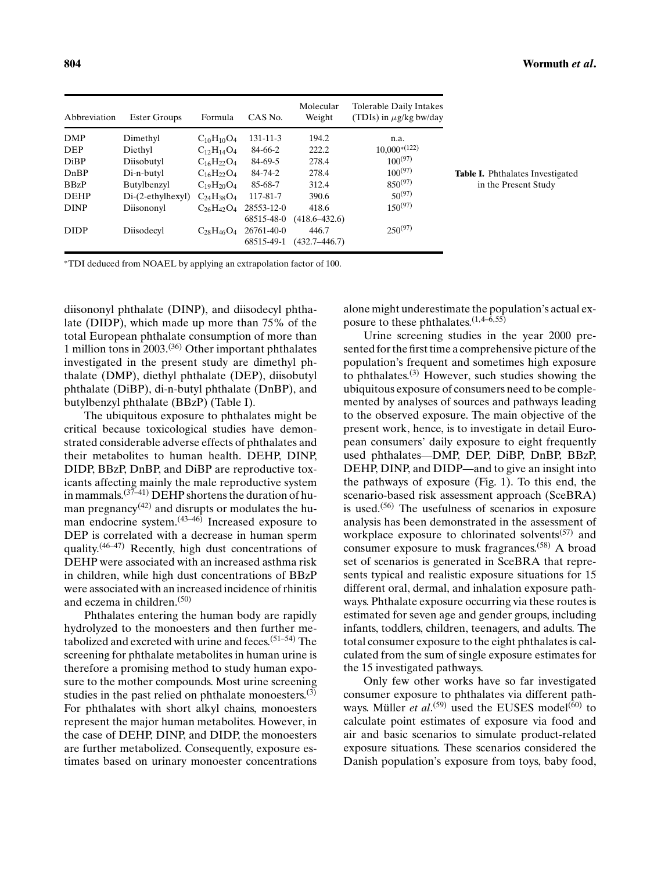**Table I.** Phthalates Investigated in the Present Study

| Abbreviation | Ester Groups        | Formula           | CAS No.    | Molecular<br>Weight | Tolerable Daily Intakes<br>(TDIs) in $\mu$ g/kg bw/day |
|--------------|---------------------|-------------------|------------|---------------------|--------------------------------------------------------|
| <b>DMP</b>   | Dimethyl            | $C_{10}H_{10}O_4$ | 131-11-3   | 194.2               | n.a.                                                   |
| <b>DEP</b>   | Diethyl             | $C_{12}H_{14}O_4$ | 84-66-2    | 222.2               | $10,000^{*(122)}$                                      |
| <b>DiBP</b>  | Diisobutyl          | $C_{16}H_{22}O_4$ | 84-69-5    | 278.4               | $100^{(97)}$                                           |
| DnBP         | Di-n-butyl          | $C_{16}H_{22}O_4$ | 84-74-2    | 278.4               | $100^{(97)}$                                           |
| <b>BBzP</b>  | Butylbenzyl         | $C_{19}H_{20}O_4$ | 85-68-7    | 312.4               | $850^{(97)}$                                           |
| <b>DEHP</b>  | $Di-(2-ethylhexyl)$ | $C_{24}H_{38}O_4$ | 117-81-7   | 390.6               | $50^{(97)}$                                            |
| <b>DINP</b>  | Diisononyl          | $C_{26}H_{42}O_4$ | 28553-12-0 | 418.6               | $150^{(97)}$                                           |
|              |                     |                   | 68515-48-0 | $(418.6 - 432.6)$   |                                                        |
| <b>DIDP</b>  | Diisodecyl          | $C_{28}H_{46}O_4$ | 26761-40-0 | 446.7               | $250^{(97)}$                                           |
|              |                     |                   | 68515-49-1 | $(432.7 - 446.7)$   |                                                        |

<sup>∗</sup>TDI deduced from NOAEL by applying an extrapolation factor of 100.

diisononyl phthalate (DINP), and diisodecyl phthalate (DIDP), which made up more than 75% of the total European phthalate consumption of more than 1 million tons in  $2003<sup>(36)</sup>$  Other important phthalates investigated in the present study are dimethyl phthalate (DMP), diethyl phthalate (DEP), diisobutyl phthalate (DiBP), di-n-butyl phthalate (DnBP), and butylbenzyl phthalate (BBzP) (Table I).

The ubiquitous exposure to phthalates might be critical because toxicological studies have demonstrated considerable adverse effects of phthalates and their metabolites to human health. DEHP, DINP, DIDP, BBzP, DnBP, and DiBP are reproductive toxicants affecting mainly the male reproductive system in mammals.<sup> $(37-41)$ </sup> DEHP shortens the duration of human pregnancy $(42)$  and disrupts or modulates the human endocrine system.<sup>(43–46)</sup> Increased exposure to DEP is correlated with a decrease in human sperm quality.(46–47) Recently, high dust concentrations of DEHP were associated with an increased asthma risk in children, while high dust concentrations of BBzP were associated with an increased incidence of rhinitis and eczema in children.(50)

Phthalates entering the human body are rapidly hydrolyzed to the monoesters and then further metabolized and excreted with urine and feces.(51–54) The screening for phthalate metabolites in human urine is therefore a promising method to study human exposure to the mother compounds. Most urine screening studies in the past relied on phthalate monoesters. $(3)$ For phthalates with short alkyl chains, monoesters represent the major human metabolites. However, in the case of DEHP, DINP, and DIDP, the monoesters are further metabolized. Consequently, exposure estimates based on urinary monoester concentrations alone might underestimate the population's actual exposure to these phthalates.  $(1, 4-\hat{6}, 55)$ 

Urine screening studies in the year 2000 presented for the first time a comprehensive picture of the population's frequent and sometimes high exposure to phthalates. $(3)$  However, such studies showing the ubiquitous exposure of consumers need to be complemented by analyses of sources and pathways leading to the observed exposure. The main objective of the present work, hence, is to investigate in detail European consumers' daily exposure to eight frequently used phthalates—DMP, DEP, DiBP, DnBP, BBzP, DEHP, DINP, and DIDP—and to give an insight into the pathways of exposure (Fig. 1). To this end, the scenario-based risk assessment approach (SceBRA) is used.<sup> $(56)$ </sup> The usefulness of scenarios in exposure analysis has been demonstrated in the assessment of workplace exposure to chlorinated solvents<sup>(57)</sup> and consumer exposure to musk fragrances.(58) A broad set of scenarios is generated in SceBRA that represents typical and realistic exposure situations for 15 different oral, dermal, and inhalation exposure pathways. Phthalate exposure occurring via these routes is estimated for seven age and gender groups, including infants, toddlers, children, teenagers, and adults. The total consumer exposure to the eight phthalates is calculated from the sum of single exposure estimates for the 15 investigated pathways.

Only few other works have so far investigated consumer exposure to phthalates via different pathways. Müller *et al.*<sup>(59)</sup> used the EUSES model<sup>(60)</sup> to calculate point estimates of exposure via food and air and basic scenarios to simulate product-related exposure situations. These scenarios considered the Danish population's exposure from toys, baby food,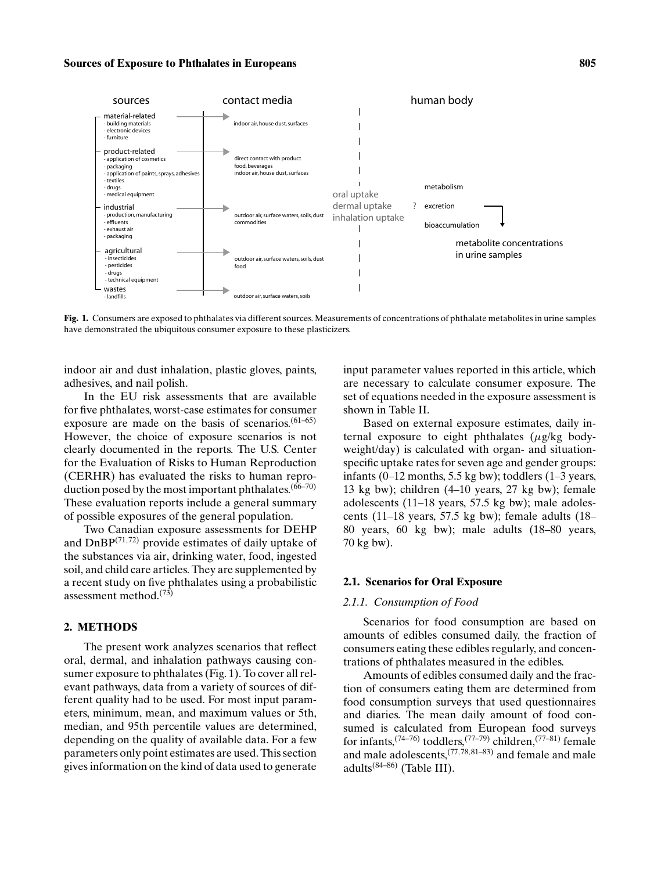

**Fig. 1.** Consumers are exposed to phthalates via different sources. Measurements of concentrations of phthalate metabolites in urine samples have demonstrated the ubiquitous consumer exposure to these plasticizers.

indoor air and dust inhalation, plastic gloves, paints, adhesives, and nail polish.

In the EU risk assessments that are available for five phthalates, worst-case estimates for consumer exposure are made on the basis of scenarios.(61–65) However, the choice of exposure scenarios is not clearly documented in the reports. The U.S. Center for the Evaluation of Risks to Human Reproduction (CERHR) has evaluated the risks to human reproduction posed by the most important phthalates.(66–70) These evaluation reports include a general summary of possible exposures of the general population.

Two Canadian exposure assessments for DEHP and  $DnBP^{(71,72)}$  provide estimates of daily uptake of the substances via air, drinking water, food, ingested soil, and child care articles. They are supplemented by a recent study on five phthalates using a probabilistic assessment method.(73)

## **2. METHODS**

The present work analyzes scenarios that reflect oral, dermal, and inhalation pathways causing consumer exposure to phthalates (Fig. 1). To cover all relevant pathways, data from a variety of sources of different quality had to be used. For most input parameters, minimum, mean, and maximum values or 5th, median, and 95th percentile values are determined, depending on the quality of available data. For a few parameters only point estimates are used. This section gives information on the kind of data used to generate input parameter values reported in this article, which are necessary to calculate consumer exposure. The set of equations needed in the exposure assessment is shown in Table II.

Based on external exposure estimates, daily internal exposure to eight phthalates  $(\mu g/kg$  bodyweight/day) is calculated with organ- and situationspecific uptake rates for seven age and gender groups: infants (0–12 months, 5.5 kg bw); toddlers (1–3 years, 13 kg bw); children (4–10 years, 27 kg bw); female adolescents (11–18 years, 57.5 kg bw); male adolescents (11–18 years, 57.5 kg bw); female adults (18– 80 years, 60 kg bw); male adults (18–80 years, 70 kg bw).

#### **2.1. Scenarios for Oral Exposure**

# *2.1.1. Consumption of Food*

Scenarios for food consumption are based on amounts of edibles consumed daily, the fraction of consumers eating these edibles regularly, and concentrations of phthalates measured in the edibles.

Amounts of edibles consumed daily and the fraction of consumers eating them are determined from food consumption surveys that used questionnaires and diaries. The mean daily amount of food consumed is calculated from European food surveys for infants,  $(74-76)$  toddlers,  $(77-79)$  children,  $(77-81)$  female and male adolescents,  $(77, 78, 81-83)$  and female and male adults $^{(84-86)}$  (Table III).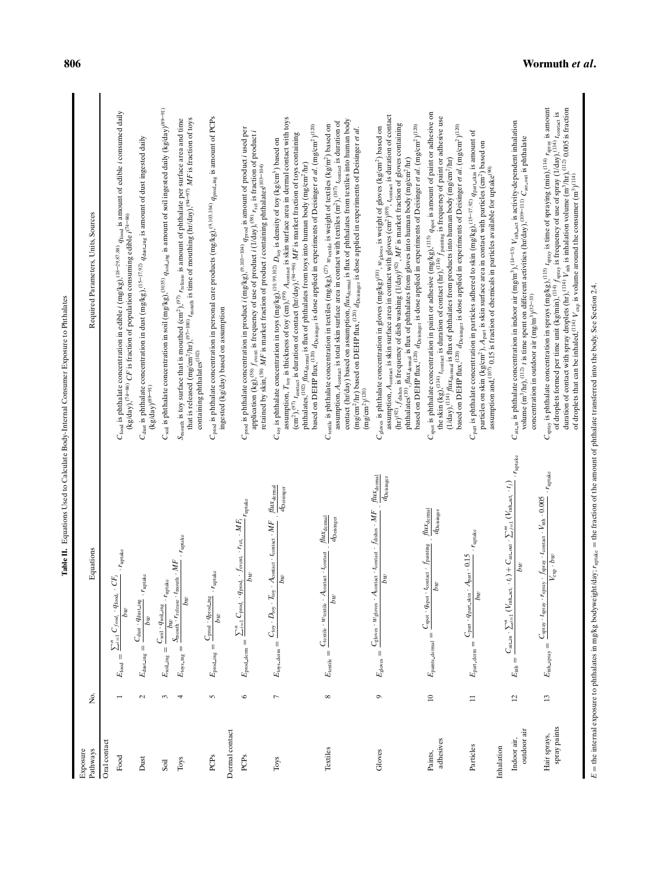| i<br>ı                        |
|-------------------------------|
| I<br>I                        |
| I                             |
|                               |
| I<br>ı<br>l<br>ı              |
| ĺ<br>$\overline{\phantom{a}}$ |

| Exposure<br>Pathways                     | Σò                  | Equations                                                                                                                                                                                                            | Required Parameters, Units, Sources                                                                                                                                                                                                                                                                                                                                                                                                                                                                                                                                                                                                                                                                                                                               |
|------------------------------------------|---------------------|----------------------------------------------------------------------------------------------------------------------------------------------------------------------------------------------------------------------|-------------------------------------------------------------------------------------------------------------------------------------------------------------------------------------------------------------------------------------------------------------------------------------------------------------------------------------------------------------------------------------------------------------------------------------------------------------------------------------------------------------------------------------------------------------------------------------------------------------------------------------------------------------------------------------------------------------------------------------------------------------------|
| Oral contact                             |                     |                                                                                                                                                                                                                      |                                                                                                                                                                                                                                                                                                                                                                                                                                                                                                                                                                                                                                                                                                                                                                   |
| Food                                     |                     | $\sum_{i=1}^n C_{food_i} \cdot q_{\text{food}_i} \cdot CF_i$ . $r_{\text{update}}$<br>bw<br>$E_{\rm food}$ $=$                                                                                                       | $C_{\text{load}}$ is phthalate concentration in edible $i$ (mg/kg), ( $^{18-29.87.88}$ ) $q_{\text{load}}$ is amount of edible $i$ consumed daily (kg/day), ( $^{4-80}$ ) $CF$ is fraction of population consuming edible $i^{C4-80}$                                                                                                                                                                                                                                                                                                                                                                                                                                                                                                                             |
| Dust                                     | $\sim$              | $C_{\rm dust} \cdot q_{\rm dust\_\rm img}$ . $r_{\rm uptake}$<br>bw<br>$E_{\text{dust ing}} =$                                                                                                                       | $C_{\text{dust}}$ is phthalate concentration in dust (mg/kg), $^{(15-17,92)}$ $q_{\text{dust-ing}}$ is amount of dust ingested daily<br>$(\mathrm{kg}\mathrm{day})^{(89-91)}$                                                                                                                                                                                                                                                                                                                                                                                                                                                                                                                                                                                     |
| Soil                                     | 3                   | $C_{\text{solid}} \cdot q_{\text{solid}}$ . $r_{\text{update}}$<br>$E_{\text{coll}}$ ing $=$                                                                                                                         | $C_{\text{scal}}$ is phthalate concentration in soil (mg/kg), (30.35) $q_{\text{solid}}$ is amount of soil ingested daily (kg/day) (89-91)                                                                                                                                                                                                                                                                                                                                                                                                                                                                                                                                                                                                                        |
| Toys                                     | 4                   | $\cdot$ $r_{\rm uptake}$<br>$E_{\rm Oys\text{-}ing} = \frac{S_{\rm mouth} \cdot r_{\rm release} \cdot r_{\rm mount} \cdot M F}{S_{\rm mouth} \cdot r_{\rm release}}$<br>bw                                           | that is released (mg/cm <sup>2</sup> /hr), <sup>(97-100</sup> ) $t_{\text{mouth}}$ is time of mouthing (hr/day), <sup>(94-97</sup> ) MF is fraction of toys<br>$S_{\text{month}}$ is toy surface that is mouthed (cm <sup>2</sup> ), <sup>(97)</sup> $r_{\text{relcase}}$ is amount of phthalate per surface area and time<br>containing phthalates <sup>(102)</sup>                                                                                                                                                                                                                                                                                                                                                                                              |
| PCPs                                     | 5                   | uptake<br>$E_{\text{prod}} \mathrel{\mathop:} = \frac{C_{\text{prod}} \cdot q_{\text{prod}} \mathrel{\mathop:} }{\mathrel{\iota}} \cdot r$<br>bw                                                                     | C <sub>prod</sub> is phthalate concentration in personal care products (mg/kg), <sup>(9,103,104)</sup> q <sub>prod_ing</sub> is amount of PCPs<br>ingested (kg/day) based on assumption                                                                                                                                                                                                                                                                                                                                                                                                                                                                                                                                                                           |
| Dermal contact<br>PCPs                   | $\circ$             | $\sum_{i=1}^n C_{\text{prod}_i} \cdot q_{\text{prod}_j} \cdot f_{\text{event}_i} \cdot r_{\text{ret}_i} \cdot M F_i$<br>bw<br>$E_{\rm prod\,\,dem}=$                                                                 | $C_{prod}$ is phthalate concentration in product i (mg/kg), <sup>(9,103-104)</sup> $q_{prod}$ is amount of product i used per<br>application (kg), <sup>(58)</sup> $f$ <sub>event</sub> is frequency of use of product i (1/day), <sup>(58)</sup> $r_{rel}$ is fraction of product i<br>retained by skin, <sup>(58)</sup> MF is market fraction of product <i>i</i> containing phthalates <sup>(103-104)</sup>                                                                                                                                                                                                                                                                                                                                                    |
| Toys                                     | $\overline{ }$      | $\mathit{flux}_{\text{dermal}}$<br>$d_{\mbox{\small Poisinger}}$<br>$A_{\text{contact}} \cdot t_{\text{contact}} \cdot MF$<br>bw<br>$C_{\rm toy} \cdot D_{\rm toy} \cdot T_{\rm toy}$<br>$E_{\rm oys \, \, dem}$ $=$ | assumption, $T_{\text{toy}}$ is thickness of toy (cm), <sup>(99)</sup> $A_{\text{const}}$ is skin surface area in dermal contact with toys<br>phthalates, <sup>(102)</sup> $\hat{f}u x_{\text{termal}}$ is flux of phthalates from toys into human body (mg/cm <sup>2</sup> /hr)<br>based on DEHP flux, <sup>(200</sup> ) $d_{\text{Deising}}$ is dose applied in experiments of Deisinger <i>et al.</i> (mg/cm <sup>2</sup> ) <sup>(200</sup> )<br>$(\text{cm}^2)^{(97)}$ t <sub>contact</sub> is duration of contact (hr/day), <sup>(94-96)</sup> MF is market fraction of toys containing<br>$C_{\text{toy}}$ is phthalate concentration in toys (mg/kg), (10.99.102) $D_{\text{toy}}$ is density of toy (kg/cm <sup>3</sup> ) based on                        |
| Textiles                                 | ${}^{\circ}$        | $\mathit{flux}_\mathrm{dermal}$<br>$d_{\rm Deisinger}$<br>$C_{\text{textile}} \cdot w_{\text{textile}} \cdot A_{\text{contact}} \cdot t_{\text{contact}}$<br>bw<br>$E_{\text{textile}} =$                            | contact (hr/day) based on assumption, fluxdermal is flux of phthalates from textiles into human body<br>assumption, $A_{\text{contact}}$ is total skin surface area in contact with textiles $(m^2)$ , $(107)$ $t_{\text{contact}}$ is duration of<br>$C_{\text{textile}}$ is phthalate concentration in textiles (mg/kg), <sup>(27)</sup> $w_{\text{exitie}}$ is weight of textiles (kg/m <sup>2</sup> ) based on<br>(mg/cm <sup>2</sup> /hr) based on DEHP flux, (120) $d_{\text{Designer}}$ is dose applied in experiments of Deisinger et al.<br>$(\mathrm{m} \mathrm{g}/\mathrm{cm}^2) ^{(120)}$                                                                                                                                                             |
| Gloves                                   | ç                   | $\mathit{flux}_{\text{dernal}}$<br>$d_{\rm Deisinger}$<br>$C_{\text{gloves}} \cdot w_{\text{gloves}} \cdot A_{\text{contact}} \cdot t_{\text{contact}} \cdot f_{\text{dishes}} \cdot MF$<br>bw<br>$E_{\rm gloves} =$ | assumption, $A_{\text{contact}}$ is skin surface area in contact with gloves $(\text{cm}^2)^{(89)}$ , $t_{\text{concat}}$ is duration of contact<br>$(\text{hr})^{(92)}$ , f <sub>dishes</sub> is frequency of dish washing (1/day) <sup>(92)</sup> , MF is market fraction of gloves containing<br>phthalates <sup>(10)</sup> , <i>flux</i> <sub>demal</sub> is flux of phthalates from gloves into human body (mg/cm <sup>2</sup> /hr)<br>based on DEHP flux, <sup>(230</sup> ) d <sub>Desinger</sub> is dose applied in experiments of Deisinger <i>et al.</i> (mg/cm <sup>2</sup> ) <sup>(230)</sup><br>$C_{\text{gows}}$ is phthalate concentration in gloves $(\text{mg/kg})^{(10)}$ , $w_{\text{gows}}$ is weight of gloves (kg/cm <sup>2</sup> ) based on |
| adhesives<br>Paints,                     | $\Xi$               | $\mathit{flux}_{\text{dermal}}$<br>$d_{\mbox{\small\textsf{Deisinger}}}$<br>$E_{\rm pairs\;dermal} = \frac{C_{\rm spot}\cdot q_{\rm spot}\cdot t_{\rm contact}\cdot f_{\rm painting}}{E_{\rm pairs}}\,.$<br>bw       | $C_{spot}$ is phthalate concentration in paint or adhesive (mg/kg), <sup>(115)</sup> $q_{spot}$ is amount of paint or adhesive on<br>the skin (kg), $^{(114)}$ t <sub>contact</sub> is duration of contact (hr), $^{(114)}$ $f$ paining is frequency of paint or adhesive use<br>(1/day), (114) flux <sub>dermal</sub> is flux of phthalates from products into human body (mg/cm <sup>2</sup> /hr)                                                                                                                                                                                                                                                                                                                                                               |
| Particles                                | $\Xi$               | · <i>r</i> uptake<br>$E_{\rm part\,derm} = \frac{C_{\rm part}\cdot q_{\rm part\,skin}\cdot A_{\rm part}\cdot 0.15}{\rm}$<br>bw                                                                                       | based on DEHP flux, <sup>(120)</sup> $d_{\text{Designgen}}$ is dose applied in experiments of Deisinger et al. (mg/cm <sup>2</sup> ) <sup>(120)</sup><br>$C_{\text{part}}$ is phthalate concentration in particles adhered to skin (mg/kg), (15-17.92) $q_{\text{part\_skin}}$ is amount of<br>particles on skin (kg/cm <sup>2</sup> ), A <sub>part</sub> is skin surface area in contact with particles (cm <sup>2</sup> ) based on<br>assumption and, $^{(107)}$ 0.15 is fraction of chemicals in particles available for uptake $^{(90)}$                                                                                                                                                                                                                      |
| outdoor air<br>Indoor air,<br>Inhalation | $\overline{\omega}$ | $\cdot$ $r_{\rm uptake}$<br>$\cdot t_i$ ) + $C_{\text{air out}} \cdot \sum_{j=1}^{m} (V_{\text{inh act}_j} \cdot t_j)$<br>bw<br>$C_{\text{air in}} \cdot \sum_{i=1}^{n} (V_{\text{inh. act,}}$<br>$E_{\rm inh}$ $=$  | $C_{\text{air-in}}$ is phthalate concentration in indoor air (mg/m <sup>3</sup> ), <sup>(14–15)</sup> $V_{\text{int}-\text{int}}$ is activity-dependent inhalation volume (m <sup>3</sup> /hr), <sup>(112</sup> ) <i>t</i> is time spent on different activities (hr/day), <sup>(109–111</sup> ) $C_{\text{air-out}}$ is<br>concentration in outdoor air $(mg/m^3)^{(32-33)}$                                                                                                                                                                                                                                                                                                                                                                                     |
| spray paints<br>Hair sprays,             | $\Xi$               | $\cdot r_{\text{uptake}}$<br>$E_{\rm inh\,-pray} = \frac{C_{\rm spray} \cdot t_{\rm spray} \cdot t_{\rm spray} \cdot f_{\rm spray} \cdot t_{\rm contact} \cdot V_{\rm inh} \cdot 0.005}$<br>$V_{\rm exp}\cdot bw$    | $C_{\text{spray}}$ is phthalate concentration in sprays (mg/kg), (115) $t_{\text{spray}}$ is time of spraying (min), (114) $r_{\text{spray}}$ is amount<br>duration of contact with spray droplets (hr), $(114)$ $V_{\text{inh}}$ is inhalation volume (m <sup>3</sup> /hr), $(112)$ 0.005 is fraction<br>of droplets formed per time unit (kg/min), (114) f spray is frequency of use of spray (1/day), (114) t <sub>oomact</sub> is<br>of droplets that can be inhaled, $^{(114)}$ $V_{\text{exp}}$ is volume around the consumer $(\text{m}^3)^{(114)}$                                                                                                                                                                                                        |

 $E =$  the internal exposure to phthalates in mg/kg bodyweight/day;  $r_{\text{update}} =$  the fraction of the amount of phthalate transferred into the body. See Section 2.4.  $E=$  the internal exposure to phthalates in mg/kg bodyweight/day;  $r_{\rm unake}=$  the fraction of the amount of phthalate transferred into the body. See Section 2.4.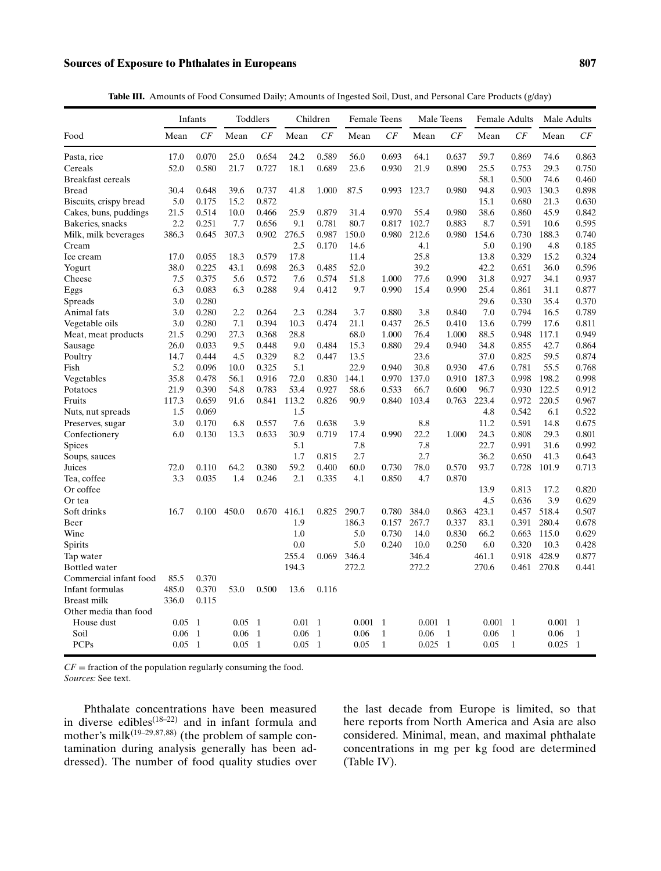|                          |                | Infants      |                | Toddlers     |                | Children       | Female Teens |              | Male Teens |                | Female Adults |              | Male Adults |              |
|--------------------------|----------------|--------------|----------------|--------------|----------------|----------------|--------------|--------------|------------|----------------|---------------|--------------|-------------|--------------|
| Food                     | Mean           | CF           | Mean           | CF           | Mean           | CF             | Mean         | CF           | Mean       | CF             | Mean          | CF           | Mean        | CF           |
| Pasta, rice              | 17.0           | 0.070        | 25.0           | 0.654        | 24.2           | 0.589          | 56.0         | 0.693        | 64.1       | 0.637          | 59.7          | 0.869        | 74.6        | 0.863        |
| Cereals                  | 52.0           | 0.580        | 21.7           | 0.727        | 18.1           | 0.689          | 23.6         | 0.930        | 21.9       | 0.890          | 25.5          | 0.753        | 29.3        | 0.750        |
| <b>Breakfast cereals</b> |                |              |                |              |                |                |              |              |            |                | 58.1          | 0.500        | 74.6        | 0.460        |
| <b>Bread</b>             | 30.4           | 0.648        | 39.6           | 0.737        | 41.8           | 1.000          | 87.5         | 0.993        | 123.7      | 0.980          | 94.8          | 0.903        | 130.3       | 0.898        |
| Biscuits, crispy bread   | 5.0            | 0.175        | 15.2           | 0.872        |                |                |              |              |            |                | 15.1          | 0.680        | 21.3        | 0.630        |
| Cakes, buns, puddings    | 21.5           | 0.514        | 10.0           | 0.466        | 25.9           | 0.879          | 31.4         | 0.970        | 55.4       | 0.980          | 38.6          | 0.860        | 45.9        | 0.842        |
| Bakeries, snacks         | 2.2            | 0.251        | 7.7            | 0.656        | 9.1            | 0.781          | 80.7         | 0.817        | 102.7      | 0.883          | 8.7           | 0.591        | 10.6        | 0.595        |
| Milk, milk beverages     | 386.3          | 0.645        | 307.3          | 0.902        | 276.5          | 0.987          | 150.0        | 0.980        | 212.6      | 0.980          | 154.6         | 0.730        | 188.3       | 0.740        |
| Cream                    |                |              |                |              | 2.5            | 0.170          | 14.6         |              | 4.1        |                | 5.0           | 0.190        | 4.8         | 0.185        |
| Ice cream                | 17.0           | 0.055        | 18.3           | 0.579        | 17.8           |                | 11.4         |              | 25.8       |                | 13.8          | 0.329        | 15.2        | 0.324        |
| Yogurt                   | 38.0           | 0.225        | 43.1           | 0.698        | 26.3           | 0.485          | 52.0         |              | 39.2       |                | 42.2          | 0.651        | 36.0        | 0.596        |
| Cheese                   | 7.5            | 0.375        | 5.6            | 0.572        | 7.6            | 0.574          | 51.8         | 1.000        | 77.6       | 0.990          | 31.8          | 0.927        | 34.1        | 0.937        |
| Eggs                     | 6.3            | 0.083        | 6.3            | 0.288        | 9.4            | 0.412          | 9.7          | 0.990        | 15.4       | 0.990          | 25.4          | 0.861        | 31.1        | 0.877        |
| Spreads                  | 3.0            | 0.280        |                |              |                |                |              |              |            |                | 29.6          | 0.330        | 35.4        | 0.370        |
| Animal fats              | 3.0            | 0.280        | 2.2            | 0.264        | 2.3            | 0.284          | 3.7          | 0.880        | 3.8        | 0.840          | 7.0           | 0.794        | 16.5        | 0.789        |
| Vegetable oils           | 3.0            | 0.280        | 7.1            | 0.394        | 10.3           | 0.474          | 21.1         | 0.437        | 26.5       | 0.410          | 13.6          | 0.799        | 17.6        | 0.811        |
| Meat, meat products      | 21.5           | 0.290        | 27.3           | 0.368        | 28.8           |                | 68.0         | 1.000        | 76.4       | 1.000          | 88.5          | 0.948        | 117.1       | 0.949        |
| Sausage                  | 26.0           | 0.033        | 9.5            | 0.448        | 9.0            | 0.484          | 15.3         | 0.880        | 29.4       | 0.940          | 34.8          | 0.855        | 42.7        | 0.864        |
| Poultry                  | 14.7           | 0.444        | 4.5            | 0.329        | 8.2            | 0.447          | 13.5         |              | 23.6       |                | 37.0          | 0.825        | 59.5        | 0.874        |
| Fish                     | 5.2            | 0.096        | 10.0           | 0.325        | 5.1            |                | 22.9         | 0.940        | 30.8       | 0.930          | 47.6          | 0.781        | 55.5        | 0.768        |
| Vegetables               | 35.8           | 0.478        | 56.1           | 0.916        | 72.0           | 0.830          | 144.1        | 0.970        | 137.0      | 0.910          | 187.3         | 0.998        | 198.2       | 0.998        |
| Potatoes                 | 21.9           | 0.390        | 54.8           | 0.783        | 53.4           | 0.927          | 58.6         | 0.533        | 66.7       | 0.600          | 96.7          | 0.930        | 122.5       | 0.912        |
| Fruits                   | 117.3          | 0.659        | 91.6           | 0.841        | 113.2          | 0.826          | 90.9         | 0.840        | 103.4      | 0.763          | 223.4         | 0.972        | 220.5       | 0.967        |
| Nuts, nut spreads        | 1.5            | 0.069        |                |              | 1.5            |                |              |              |            |                | 4.8           | 0.542        | 6.1         | 0.522        |
| Preserves, sugar         | 3.0            | 0.170        | 6.8            | 0.557        | 7.6            | 0.638          | 3.9          |              | 8.8        |                | 11.2          | 0.591        | 14.8        | 0.675        |
| Confectionery            | 6.0            | 0.130        | 13.3           | 0.633        | 30.9           | 0.719          | 17.4         | 0.990        | 22.2       | 1.000          | 24.3          | 0.808        | 29.3        | 0.801        |
| Spices                   |                |              |                |              | 5.1            |                | 7.8          |              | 7.8        |                | 22.7          | 0.991        | 31.6        | 0.992        |
| Soups, sauces            |                |              |                |              | 1.7            | 0.815          | 2.7          |              | 2.7        |                | 36.2          | 0.650        | 41.3        | 0.643        |
| Juices                   | 72.0           | 0.110        | 64.2           | 0.380        | 59.2           | 0.400          | 60.0         | 0.730        | 78.0       | 0.570          | 93.7          | 0.728        | 101.9       | 0.713        |
| Tea, coffee              | 3.3            | 0.035        | 1.4            | 0.246        | 2.1            | 0.335          | 4.1          | 0.850        | 4.7        | 0.870          |               |              |             |              |
| Or coffee                |                |              |                |              |                |                |              |              |            |                | 13.9          | 0.813        | 17.2        | 0.820        |
| Or tea                   |                |              |                |              |                |                |              |              |            |                | 4.5           | 0.636        | 3.9         | 0.629        |
| Soft drinks              | 16.7           | 0.100        | 450.0          | 0.670        | 416.1          | 0.825          | 290.7        | 0.780        | 384.0      | 0.863          | 423.1         | 0.457        | 518.4       | 0.507        |
| Beer                     |                |              |                |              | 1.9            |                | 186.3        | 0.157        | 267.7      | 0.337          | 83.1          | 0.391        | 280.4       | 0.678        |
| Wine                     |                |              |                |              | 1.0            |                | 5.0          | 0.730        | 14.0       | 0.830          | 66.2          | 0.663        | 115.0       | 0.629        |
| Spirits                  |                |              |                |              | 0.0            |                | 5.0          | 0.240        | 10.0       | 0.250          | 6.0           | 0.320        | 10.3        | 0.428        |
| Tap water                |                |              |                |              | 255.4          | 0.069          | 346.4        |              | 346.4      |                | 461.1         | 0.918        | 428.9       | 0.877        |
| Bottled water            |                |              |                |              | 194.3          |                | 272.2        |              | 272.2      |                | 270.6         | 0.461        | 270.8       | 0.441        |
| Commercial infant food   | 85.5           | 0.370        |                |              |                |                |              |              |            |                |               |              |             |              |
| Infant formulas          | 485.0          | 0.370        | 53.0           | 0.500        | 13.6           | 0.116          |              |              |            |                |               |              |             |              |
| <b>Breast milk</b>       | 336.0          | 0.115        |                |              |                |                |              |              |            |                |               |              |             |              |
| Other media than food    |                |              |                |              |                |                |              |              |            |                |               |              |             |              |
| House dust               | 0.05           | -1           | 0.05           | -1           | 0.01           | $\overline{1}$ | 0.001        | -1           | 0.001      | $\overline{1}$ | 0.001         | -1           | 0.001       | $\mathbf{1}$ |
| Soil                     | 0.06           | $\mathbf{1}$ | 0.06           | $\mathbf{1}$ | 0.06           | $\mathbf{1}$   | 0.06         | $\mathbf{1}$ | 0.06       | $\mathbf{1}$   | 0.06          | $\mathbf{1}$ | 0.06        | $\mathbf{1}$ |
| <b>PCPs</b>              | $0.05 \quad 1$ |              | $0.05 \quad 1$ |              | $0.05 \quad 1$ |                | 0.05         | $\mathbf{1}$ | $0.025$ 1  |                | 0.05          | $\mathbf{1}$ | $0.025$ 1   |              |
|                          |                |              |                |              |                |                |              |              |            |                |               |              |             |              |

 $CF =$  fraction of the population regularly consuming the food. *Sources:* See text.

Phthalate concentrations have been measured in diverse edibles<sup> $(18-22)$ </sup> and in infant formula and mother's milk<sup>(19–29,87,88)</sup> (the problem of sample contamination during analysis generally has been addressed). The number of food quality studies over

the last decade from Europe is limited, so that here reports from North America and Asia are also considered. Minimal, mean, and maximal phthalate concentrations in mg per kg food are determined (Table IV).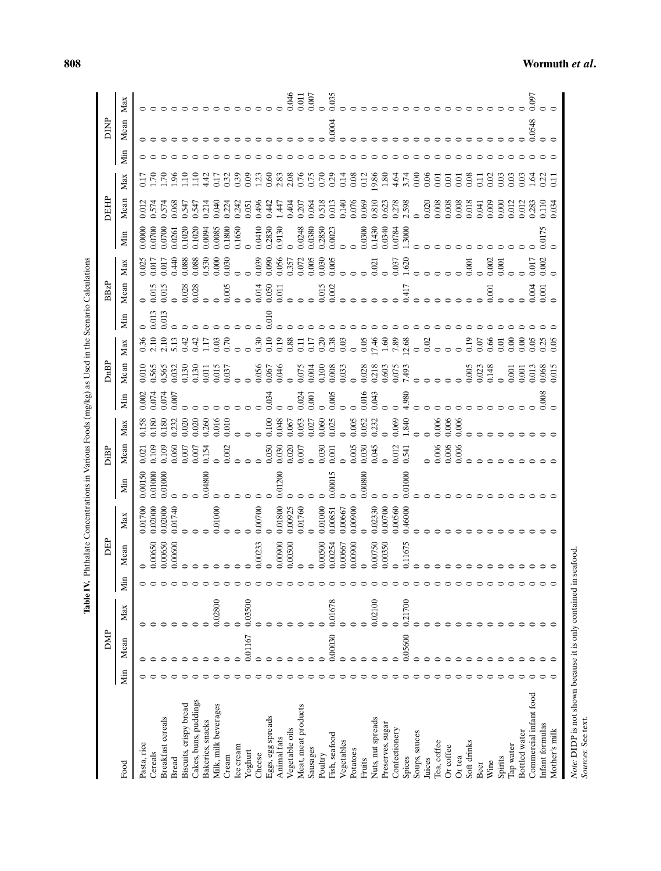|                          |     | <b>DMP</b> |         |          | DEP     |         |            | DiBP  |       |       | DnBP  |                     |            | BBzP  |       |            | DEHP      |                  |            | DINP       |       |
|--------------------------|-----|------------|---------|----------|---------|---------|------------|-------|-------|-------|-------|---------------------|------------|-------|-------|------------|-----------|------------------|------------|------------|-------|
| Food                     | Мin | Mean       | Max     | Min<br>L | Mean    | Max     | <b>Nin</b> | Mean  | Max   | Мin   | Mean  | Max                 | <b>Min</b> | Mean  | Max   | <b>Nin</b> | Mean      | Max              | <b>Min</b> | Mean       | Max   |
| Pasta, rice              |     |            |         |          |         | 0.01700 | 0.00150    | 0.02  | 0.158 | 0.002 | 0.010 | 0.36                |            |       | 0.025 | 0.0000     | 0.012     |                  |            |            |       |
| Cereals                  |     |            |         |          | 0.00650 | 0.02000 | 0.01000    | 0.109 | 081.0 | 0.074 | .565  | 2.10                | 0.013      | 0.015 | 0.017 | 0.0700     | 0.574     | $0.17$<br>1.70   |            |            |       |
| <b>Breakfast</b> cereals |     |            |         |          | 0.00650 | 0.02000 | 0.01000    | 0.109 | 0.180 | 0.074 | 0.565 | 2.10                | 0.013      | 0.015 | 0.017 | 0.0700     | 0.574     | $\overline{170}$ |            |            |       |
| <b>Bread</b>             |     |            |         |          | 0.00600 | 0.01740 |            | 0.060 | 0.232 | 0.007 | 0.032 | 5.13                |            |       | 0.440 | 0.0261     | 0.068     | 1.96             |            | $\bigcirc$ |       |
| Biscuits, crispy bread   |     |            |         |          |         |         |            | 0.007 | 0.020 |       | 0.130 | 0.42                |            | 0.028 | 0.088 | 0.1020     | 0.547     | $\Xi$            |            |            |       |
| Cakes, buns, puddings    |     |            |         |          |         |         |            | 0.007 | 0.020 |       | 0.130 | 0.42                |            | 0.028 | 0.088 | 0.1020     | 0.547     | $\Xi$            |            |            |       |
| Bakeries, snacks         |     |            |         |          |         |         | 4800       | 0.154 | 0.260 |       | 0.011 | ELI                 |            |       | 0.530 | 0.0094     | 0.214     | 4.42             |            |            |       |
| Milk, milk beverages     |     |            | 0.02800 |          |         | .01000  |            |       | 0.016 |       | 0.015 | 0.03                |            |       | 0.000 | 0.0085     | 0.040     | 0.17             |            |            |       |
| Cream                    |     |            |         |          |         |         |            | 0.002 | 0.010 |       | 0.037 | 0.70                |            | 0.005 | 0.030 | 0.1800     | 0.224     | 0.32             |            |            |       |
| lce cream                |     |            |         |          |         |         |            |       |       |       |       |                     |            |       |       | 0.1650     | 0.242     | 0.39             |            |            |       |
| Yoghurt                  |     | 0.01167    | 0.03500 |          |         |         |            |       |       |       |       |                     |            |       |       |            | 0.051     | 0.09             |            |            |       |
| Cheese                   |     |            |         |          | 0.00233 | 00700   |            |       |       |       | 0.056 | 0.30                |            | 0.014 | 0.039 | 0.0410     | 0.496     | 1.23             |            |            |       |
| Eggs, egg spreads        |     |            |         |          |         |         |            | 0.050 | 00    |       | 0.067 | 0.10                | $_{0.01}$  | 0.050 | 0.090 | 0.2830     | 0.442     |                  |            |            |       |
| Animal fats              |     |            |         |          | 0.00900 | 0.01800 | 200        | 0.030 | 0.048 |       | 0.046 | 0.19                |            | 0.01  | 0.056 | 0.9130     | 1.447     | $0.60$<br>$2.83$ |            |            |       |
| Vegetable oils           |     |            |         |          | 0.00500 | 0.00925 |            | 0.020 | 0.067 |       |       | 0.88                |            |       | 0.357 |            | 0.404     | 2.08             |            |            | 0.046 |
| Meat, meat products      |     |            |         |          |         | 0.01760 |            | 0.007 | 0.053 | .024  | 0.075 | $\overline{11}$     |            |       | 0.072 | 0.0248     | 0.207     | 0.76             |            |            | 0.011 |
| Sausages                 |     |            |         |          |         |         |            |       | 0.027 | 0.001 | 0.004 | 0.17                |            |       | 0.005 | 0.0380     | 0.064     | 0.75             |            |            | 0.007 |
| Poultry                  |     |            |         |          | 0.00500 | 0.01000 |            | 0.030 | 0.060 |       | 0.100 | 0.20                |            | 0.015 | 0.030 | 0.2850     | 0.518     | 0.70             |            |            |       |
| Fish, seafood            |     | 0.00030    | 0.01678 |          | 0.00254 | 0.00851 | 10015      | 0.001 | 0.025 | 0.005 | 0.008 | 0.38                |            | 0.002 | 0.005 | 0.0023     | 0.013     | 0.29             |            | 0.0004     | 0.035 |
| Vegetables               |     |            |         |          | 0.00667 | 0.00667 |            |       |       |       | 0.033 | 0.03                |            |       |       |            | 0.140     | 0.14             |            | $\circ$    |       |
| Potatoes                 |     |            |         |          | 0.00900 | 0.00900 |            | 0.005 | 0.005 |       |       | $\circ$             |            |       |       |            | 0.076     | 0.08             |            | $\Box$     |       |
| Fruits                   |     |            |         |          |         |         | 0800       | 0.030 | 0.052 | 0.016 | 0.028 | 0.05                |            |       |       | 0.0300     | 0.069     | 0.12             |            |            |       |
| Nuts, nut spreads        |     |            | 0.02100 |          | 0.00750 | 0.02330 |            | 0.045 | 0.232 | 043   | 0.218 |                     |            |       | 0.021 | 0.1430     | $0.810\,$ | 19.86            |            |            |       |
| Preserves, sugar         |     |            |         |          | 0.00350 | 0.00700 |            |       |       |       | 0.603 | $\frac{1,46}{1,60}$ |            |       |       | 0.0340     | 0.623     | $1.80$<br>4.64   |            |            |       |
| Confectionery            |     |            |         |          |         | 0.00560 |            | 0.012 | 0.069 |       | 0.075 |                     |            |       | 0.037 | 0.0784     | 0.278     |                  |            |            |       |
| Spices                   |     | 0.05600    | 0.21700 |          | 0.11675 | 0.46000 | 1000       | 0.541 | 0831  | 086   | 7.493 | 12.68               |            | 0.41  | .620  | .3000      | 2.598     | 3.74             |            |            |       |
| Soups, sauces            |     |            |         |          |         |         |            |       |       |       |       | $\circ$             |            |       |       |            |           | 0.00             |            |            |       |
| Juices                   |     |            |         |          |         |         |            |       |       |       |       | 0.02                |            |       |       |            | 0.020     | 0.06             |            |            |       |
| lea, coffee              |     |            |         |          |         |         |            | 0.006 | 0.006 |       |       | $\circ$             |            |       |       |            | 0.008     | 0.01             |            |            |       |
| Or coffee                |     |            |         |          |         |         |            | 0.006 | 0.006 |       |       | $\circ$             |            |       |       |            | 0.008     | 0.01             |            |            |       |
| Or tea                   |     |            |         |          |         |         |            | 0.006 | 0.006 |       |       | $\circ$             |            |       |       |            | 0.008     | 0.01             |            |            |       |
| Soft drinks              |     |            |         |          |         |         |            |       |       |       | 0.005 | 0.19                |            |       | 0.001 |            | 0.018     | 0.08             |            |            |       |
| Beer                     |     |            |         |          |         |         |            |       |       |       | 0.023 | 0.07                |            |       |       |            | 0.041     | 0.11             |            |            |       |
| Wine                     |     |            |         |          |         |         |            |       |       |       | 0.148 | 0.66                |            | 0.001 | 0.002 |            | 0.009     | 0.02             |            |            |       |
| Spirits                  |     |            |         |          |         |         |            |       |       |       |       | 0.01                |            |       | 0.001 |            | 0.000     | 0.03             |            |            |       |
| Tap water                |     |            |         |          |         |         |            |       |       |       | 0.001 | 0.00                |            |       |       |            | 0.012     | 0.03             |            |            |       |
| Bottled water            |     |            |         |          |         |         |            |       |       |       | 0.001 | 0.00                |            |       |       |            | 0.012     | 0.03             |            |            |       |
| Commercial infant food   |     |            |         |          |         |         |            |       |       |       | 0.013 | 0.05                |            | 0.004 | 0.017 |            | 0.283     | 1.64             |            |            |       |
| Infant formulas          |     |            |         |          |         |         |            |       |       |       | 0.068 | $\frac{0.25}{0.05}$ |            | 0.001 | 0.002 |            | 0.110     | 0.22             |            |            |       |
| Mother's milk            |     |            |         |          |         |         |            |       |       |       | 0.015 |                     |            |       |       |            | 0.034     | 0.11             |            |            |       |

**Table IV.** Phthalate Concentrations in Various Foods (mg/kg) as Used in the Scenario Calculations

Table IV. Phthalate Concentrations in Various Foods (mg/kg) as Used in the Scenario Calculations

 $Note: DIDP$  is not shown because it is only contained in sea<br>food. Sources: See text.  $% \mathcal{N}$ *Note:* DIDP is not shown because it is only contained in seafood. *Sources:* See text.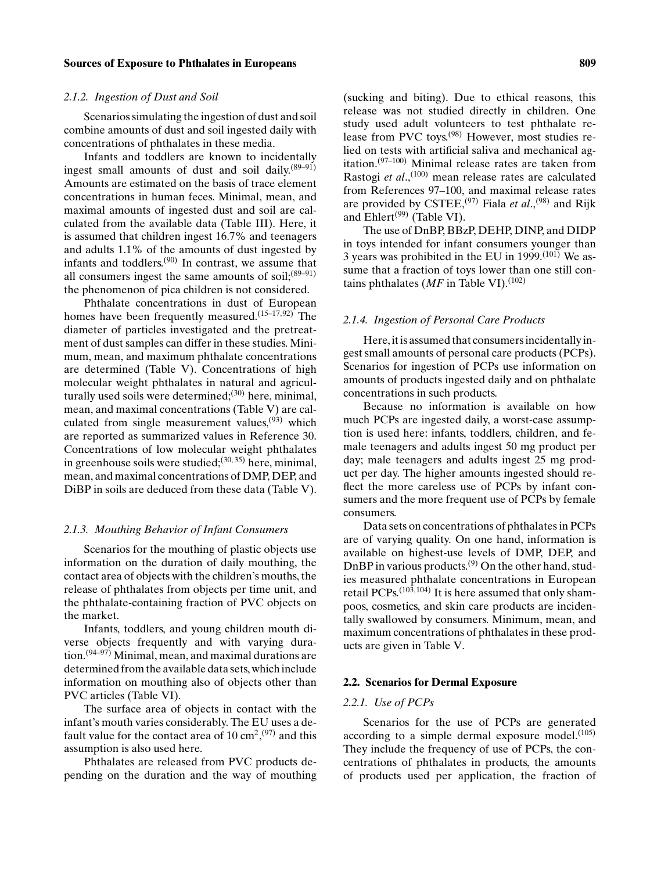## *2.1.2. Ingestion of Dust and Soil*

Scenarios simulating the ingestion of dust and soil combine amounts of dust and soil ingested daily with concentrations of phthalates in these media.

Infants and toddlers are known to incidentally ingest small amounts of dust and soil daily. $(89-91)$ Amounts are estimated on the basis of trace element concentrations in human feces. Minimal, mean, and maximal amounts of ingested dust and soil are calculated from the available data (Table III). Here, it is assumed that children ingest 16.7% and teenagers and adults 1.1% of the amounts of dust ingested by infants and toddlers.(90) In contrast, we assume that all consumers ingest the same amounts of soil;(89–91) the phenomenon of pica children is not considered.

Phthalate concentrations in dust of European homes have been frequently measured.<sup>(15–17,92)</sup> The diameter of particles investigated and the pretreatment of dust samples can differ in these studies. Minimum, mean, and maximum phthalate concentrations are determined (Table V). Concentrations of high molecular weight phthalates in natural and agriculturally used soils were determined; $(30)$  here, minimal, mean, and maximal concentrations (Table V) are calculated from single measurement values,  $(93)$  which are reported as summarized values in Reference 30. Concentrations of low molecular weight phthalates in greenhouse soils were studied; $(30,35)$  here, minimal, mean, and maximal concentrations of DMP, DEP, and DiBP in soils are deduced from these data (Table V).

## *2.1.3. Mouthing Behavior of Infant Consumers*

Scenarios for the mouthing of plastic objects use information on the duration of daily mouthing, the contact area of objects with the children's mouths, the release of phthalates from objects per time unit, and the phthalate-containing fraction of PVC objects on the market.

Infants, toddlers, and young children mouth diverse objects frequently and with varying duration.<sup> $(94-97)$ </sup> Minimal, mean, and maximal durations are determined from the available data sets, which include information on mouthing also of objects other than PVC articles (Table VI).

The surface area of objects in contact with the infant's mouth varies considerably. The EU uses a default value for the contact area of 10  $\text{cm}^2$ ,  $\text{cm}^3$  and this assumption is also used here.

Phthalates are released from PVC products depending on the duration and the way of mouthing lease from PVC toys.(98) However, most studies relied on tests with artificial saliva and mechanical agitation.<sup> $(97-100)$ </sup> Minimal release rates are taken from Rastogi *et al.*,<sup>(100)</sup> mean release rates are calculated from References 97–100, and maximal release rates are provided by CSTEE,<sup>(97)</sup> Fiala *et al.*,<sup>(98)</sup> and Rijk and  $Ehlert^{(99)}$  (Table VI).

The use of DnBP, BBzP, DEHP, DINP, and DIDP in toys intended for infant consumers younger than 3 years was prohibited in the EU in 1999.<sup>(101)</sup> We assume that a fraction of toys lower than one still contains phthalates ( $MF$  in Table VI).<sup>(102)</sup>

## *2.1.4. Ingestion of Personal Care Products*

Here, it is assumed that consumers incidentally ingest small amounts of personal care products (PCPs). Scenarios for ingestion of PCPs use information on amounts of products ingested daily and on phthalate concentrations in such products.

Because no information is available on how much PCPs are ingested daily, a worst-case assumption is used here: infants, toddlers, children, and female teenagers and adults ingest 50 mg product per day; male teenagers and adults ingest 25 mg product per day. The higher amounts ingested should reflect the more careless use of PCPs by infant consumers and the more frequent use of PCPs by female consumers.

Data sets on concentrations of phthalates in PCPs are of varying quality. On one hand, information is available on highest-use levels of DMP, DEP, and DnBP in various products.<sup>(9)</sup> On the other hand, studies measured phthalate concentrations in European retail PCPs. $(103, 104)$  It is here assumed that only shampoos, cosmetics, and skin care products are incidentally swallowed by consumers. Minimum, mean, and maximum concentrations of phthalates in these products are given in Table V.

## **2.2. Scenarios for Dermal Exposure**

#### *2.2.1. Use of PCPs*

Scenarios for the use of PCPs are generated according to a simple dermal exposure model. $(105)$ They include the frequency of use of PCPs, the concentrations of phthalates in products, the amounts of products used per application, the fraction of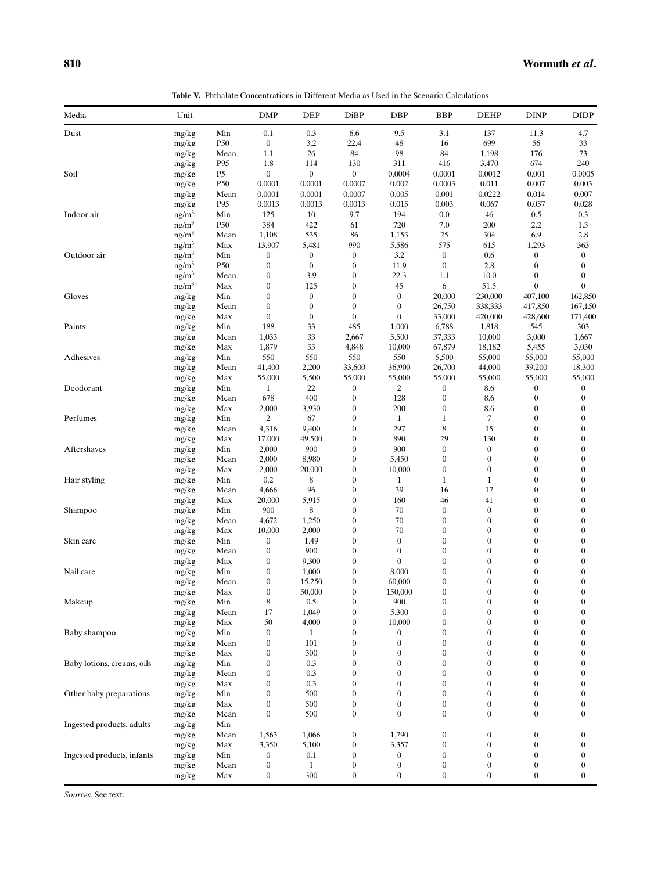**Table V.** Phthalate Concentrations in Different Media as Used in the Scenario Calculations

| Media                      | Unit              |                 | DMP              | DEP              | DiBP             | DBP                 | <b>BBP</b>       | DEHP             | <b>DINP</b>                          | <b>DIDP</b>                        |
|----------------------------|-------------------|-----------------|------------------|------------------|------------------|---------------------|------------------|------------------|--------------------------------------|------------------------------------|
| Dust                       | mg/kg             | Min             | 0.1              | 0.3              | 6.6              | 9.5                 | 3.1              | 137              | 11.3                                 | 4.7                                |
|                            | mg/kg             | P50             | $\boldsymbol{0}$ | 3.2              | 22.4             | 48                  | 16               | 699              | 56                                   | 33                                 |
|                            | mg/kg             | Mean            | 1.1              | 26               | 84               | 98                  | 84               | 1,198            | 176                                  | 73                                 |
|                            | mg/kg             | P95             | 1.8              | 114              | 130              | 311                 | 416              | 3,470            | 674                                  | 240                                |
| Soil                       | mg/kg             | P5              | $\boldsymbol{0}$ | $\boldsymbol{0}$ | $\boldsymbol{0}$ | 0.0004              | 0.0001           | 0.0012           | 0.001                                | 0.0005                             |
|                            | mg/kg             | P <sub>50</sub> | 0.0001           | 0.0001           | 0.0007           | 0.002               | 0.0003           | 0.011            | 0.007                                | 0.003                              |
|                            | mg/kg             | Mean            | 0.0001           | 0.0001           | 0.0007           | 0.005               | 0.001            | 0.0222           | 0.014                                | 0.007                              |
|                            | mg/kg             | P95             | 0.0013           | 0.0013           | 0.0013           | 0.015               | 0.003            | 0.067            | 0.057                                | 0.028                              |
| Indoor air                 | ng/m <sup>3</sup> | Min             | 125              | 10               | 9.7              | 194                 | 0.0              | 46               | $0.5\,$                              | 0.3                                |
|                            | ng/m <sup>3</sup> | P50             | 384              | 422              | 61               | 720                 | $7.0\,$          | 200              | $2.2\,$                              | 1.3                                |
|                            | ng/m <sup>3</sup> | Mean            | 1,108            | 535              | 86               | 1,153               | 25               | 304              | 6.9                                  | 2.8                                |
|                            | ng/m <sup>3</sup> | Max             | 13,907           | 5,481            | 990              | 5,586               | 575              | 615              | 1,293                                | 363                                |
| Outdoor air                | ng/m <sup>3</sup> | Min             | $\boldsymbol{0}$ | $\boldsymbol{0}$ | $\boldsymbol{0}$ | 3.2                 | $\boldsymbol{0}$ | 0.6              | $\boldsymbol{0}$                     | $\overline{0}$                     |
|                            | ng/m <sup>3</sup> | P50             | $\boldsymbol{0}$ | $\mathbf{0}$     | $\boldsymbol{0}$ | 11.9                | $\boldsymbol{0}$ | 2.8              | $\boldsymbol{0}$                     | $\boldsymbol{0}$                   |
|                            | ng/m <sup>3</sup> | Mean            | $\boldsymbol{0}$ | 3.9              | 0                | 22.3                | 1.1              | 10.0             | $\boldsymbol{0}$                     | $\boldsymbol{0}$                   |
|                            | ng/m <sup>3</sup> | Max             | $\boldsymbol{0}$ | 125              | 0                | 45                  | 6                | 51.5             | $\boldsymbol{0}$                     | 0                                  |
| Gloves                     | mg/kg             | Min             | $\boldsymbol{0}$ | $\boldsymbol{0}$ | 0                | $\boldsymbol{0}$    | 20,000           | 230,000          | 407,100                              | 162,850                            |
|                            | mg/kg             | Mean            | $\boldsymbol{0}$ | $\boldsymbol{0}$ | 0                | $\boldsymbol{0}$    | 26,750           | 338,333          | 417,850                              | 167,150                            |
|                            | mg/kg             | Max             | $\boldsymbol{0}$ | $\boldsymbol{0}$ | $\boldsymbol{0}$ | $\boldsymbol{0}$    | 33,000           | 420,000          | 428,600                              | 171,400                            |
| Paints                     | mg/kg             | Min             | 188              | 33               | 485              | 1,000               | 6,788            | 1,818            | 545                                  | 303                                |
|                            | $\rm mg/kg$       | Mean            | 1,033            | 33               | 2,667            | 5,500               | 37,333           | 10,000           | 3,000                                | 1,667                              |
|                            | mg/kg             | Max             | 1,879            | 33               | 4,848            | 10,000              | 67,879           | 18,182           | 5,455                                | 3,030                              |
| Adhesives                  | mg/kg             | Min             | 550              | 550              | 550              | 550                 | 5,500            | 55,000           | 55,000                               | 55,000                             |
|                            | mg/kg             | Mean            | 41,400           | 2,200            | 33,600           | 36,900              | 26,700           | 44,000           | 39,200                               | 18,300                             |
|                            |                   | Max             | 55,000           | 5,500            | 55,000           | 55,000              | 55,000           | 55,000           | 55,000                               | 55,000                             |
| Deodorant                  | mg/kg<br>mg/kg    | Min             | $\mathbf{1}$     | 22               | $\boldsymbol{0}$ | $\overline{c}$      | $\boldsymbol{0}$ | 8.6              | $\boldsymbol{0}$                     | 0                                  |
|                            |                   |                 | 678              | 400              | $\boldsymbol{0}$ | 128                 | $\boldsymbol{0}$ | 8.6              | $\boldsymbol{0}$                     | $\boldsymbol{0}$                   |
|                            | mg/kg             | Mean            | 2,000            | 3,930            | $\boldsymbol{0}$ | 200                 | $\boldsymbol{0}$ | 8.6              | $\boldsymbol{0}$                     | $\mathbf{0}$                       |
|                            | mg/kg             | Max             |                  |                  |                  |                     |                  |                  |                                      |                                    |
| Perfumes                   | mg/kg             | Min             | $\overline{c}$   | 67               | $\boldsymbol{0}$ | $\mathbf{1}$<br>297 | $\mathbf{1}$     | $\tau$<br>15     | $\boldsymbol{0}$<br>$\boldsymbol{0}$ | $\boldsymbol{0}$<br>$\overline{0}$ |
|                            | mg/kg             | Mean            | 4,316            | 9,400            | $\boldsymbol{0}$ |                     | 8                |                  |                                      |                                    |
|                            | mg/kg             | Max             | 17,000           | 49,500           | $\boldsymbol{0}$ | 890                 | 29               | 130              | $\boldsymbol{0}$                     | $\boldsymbol{0}$                   |
| Aftershaves                | mg/kg             | Min             | 2,000            | 900              | 0                | 900                 | $\boldsymbol{0}$ | $\boldsymbol{0}$ | $\boldsymbol{0}$                     | 0                                  |
|                            | mg/kg             | Mean            | 2,000            | 8,980            | $\boldsymbol{0}$ | 5,450               | $\boldsymbol{0}$ | $\boldsymbol{0}$ | $\boldsymbol{0}$                     | $\boldsymbol{0}$                   |
|                            | mg/kg             | Max             | 2,000            | 20,000           | 0                | 10,000              | $\boldsymbol{0}$ | $\boldsymbol{0}$ | $\boldsymbol{0}$                     | $\boldsymbol{0}$                   |
| Hair styling               | mg/kg             | Min             | 0.2              | 8                | $\boldsymbol{0}$ | $\mathbf{1}$        | $\mathbf{1}$     | $\mathbf{1}$     | $\boldsymbol{0}$                     | $\boldsymbol{0}$                   |
|                            | mg/kg             | Mean            | 4,666            | 96               | $\boldsymbol{0}$ | 39                  | 16               | 17               | $\boldsymbol{0}$                     | $\boldsymbol{0}$                   |
|                            | mg/kg             | Max             | 20,000           | 5,915            | $\boldsymbol{0}$ | 160                 | 46               | 41               | $\boldsymbol{0}$                     | $\mathbf{0}$                       |
| Shampoo                    | mg/kg             | Min             | 900              | 8                | $\boldsymbol{0}$ | 70                  | $\boldsymbol{0}$ | $\boldsymbol{0}$ | $\boldsymbol{0}$                     | $\boldsymbol{0}$                   |
|                            | mg/kg             | Mean            | 4,672            | 1,250            | $\boldsymbol{0}$ | 70                  | $\boldsymbol{0}$ | $\boldsymbol{0}$ | $\boldsymbol{0}$                     | $\mathbf{0}$                       |
|                            | mg/kg             | Max             | 10,000           | 2,000            | $\boldsymbol{0}$ | 70                  | $\boldsymbol{0}$ | $\boldsymbol{0}$ | $\boldsymbol{0}$                     | $\boldsymbol{0}$                   |
| Skin care                  | $\rm mg/kg$       | Min             | $\boldsymbol{0}$ | 1.49             | $\boldsymbol{0}$ | $\boldsymbol{0}$    | $\boldsymbol{0}$ | $\boldsymbol{0}$ | $\boldsymbol{0}$                     | $\mathbf{0}$                       |
|                            | mg/kg             | Mean            | $\boldsymbol{0}$ | 900              | 0                | $\boldsymbol{0}$    | $\boldsymbol{0}$ | $\boldsymbol{0}$ | $\boldsymbol{0}$                     | 0                                  |
|                            | mg/kg             | Max             | $\boldsymbol{0}$ | 9,300            | 0                | $\boldsymbol{0}$    | $\boldsymbol{0}$ | $\boldsymbol{0}$ | $\boldsymbol{0}$                     | $\mathbf{0}$                       |
| Nail care                  | mg/kg             | Min             | $\boldsymbol{0}$ | 1,000            | 0                | 8,000               | $\boldsymbol{0}$ | $\boldsymbol{0}$ | $\boldsymbol{0}$                     | 0                                  |
|                            | mg/kg             | Mean            | $\boldsymbol{0}$ | 15,250           | 0                | 60,000              | $\boldsymbol{0}$ | $\boldsymbol{0}$ | $\overline{0}$                       | $\boldsymbol{0}$                   |
|                            | mg/kg             | Max             | $\boldsymbol{0}$ | 50,000           | 0                | 150,000             | $\boldsymbol{0}$ | $\boldsymbol{0}$ | $\boldsymbol{0}$                     | $\overline{0}$                     |
| Makeup                     | $\rm mg/kg$       | Min             | 8                | 0.5              | $\overline{0}$   | 900                 | $\boldsymbol{0}$ | $\boldsymbol{0}$ | $\Omega$                             | 0                                  |
|                            | mg/kg             | Mean            | 17               | 1,049            | $\boldsymbol{0}$ | 5,300               | 0                | $\boldsymbol{0}$ | $\boldsymbol{0}$                     | $\boldsymbol{0}$                   |
|                            | mg/kg             | Max             | 50               | 4,000            | $\boldsymbol{0}$ | 10,000              | 0                | $\boldsymbol{0}$ | $\boldsymbol{0}$                     | $\boldsymbol{0}$                   |
| Baby shampoo               | mg/kg             | Min             | $\boldsymbol{0}$ | 1                | 0                | $\boldsymbol{0}$    | 0                | $\boldsymbol{0}$ | $\boldsymbol{0}$                     | 0                                  |
|                            | mg/kg             | Mean            | $\boldsymbol{0}$ | 101              | $\boldsymbol{0}$ | $\boldsymbol{0}$    | 0                | $\boldsymbol{0}$ | $\boldsymbol{0}$                     | 0                                  |
|                            | mg/kg             | Max             | 0                | 300              | 0                | 0                   | 0                | $\boldsymbol{0}$ | $\boldsymbol{0}$                     | 0                                  |
| Baby lotions, creams, oils | mg/kg             | Min             | $\boldsymbol{0}$ | 0.3              | $\boldsymbol{0}$ | 0                   | 0                | $\boldsymbol{0}$ | $\boldsymbol{0}$                     | 0                                  |
|                            | mg/kg             | Mean            | 0                | 0.3              | 0                | 0                   | 0                | $\boldsymbol{0}$ | $\boldsymbol{0}$                     | 0                                  |
|                            | mg/kg             | Max             | $\boldsymbol{0}$ | 0.3              | 0                | 0                   | 0                | $\boldsymbol{0}$ | $\boldsymbol{0}$                     | 0                                  |
| Other baby preparations    | mg/kg             | Min             | $\boldsymbol{0}$ | 500              | 0                | $\overline{0}$      | 0                | $\boldsymbol{0}$ | $\boldsymbol{0}$                     | $\boldsymbol{0}$                   |
|                            | mg/kg             | Max             | $\boldsymbol{0}$ | 500              | 0                | 0                   | 0                | $\boldsymbol{0}$ | $\boldsymbol{0}$                     | 0                                  |
|                            | mg/kg             | Mean            | $\boldsymbol{0}$ | 500              | $\boldsymbol{0}$ | $\boldsymbol{0}$    | $\boldsymbol{0}$ | $\boldsymbol{0}$ | $\boldsymbol{0}$                     | $\boldsymbol{0}$                   |
| Ingested products, adults  | mg/kg             | Min             |                  |                  |                  |                     |                  |                  |                                      |                                    |
|                            | mg/kg             | Mean            | 1,563            | 1,066            | 0                | 1,790               | $\boldsymbol{0}$ | $\boldsymbol{0}$ | $\boldsymbol{0}$                     | 0                                  |
|                            | mg/kg             | Max             | 3,350            | 5,100            | $\boldsymbol{0}$ | 3,357               | 0                | $\boldsymbol{0}$ | $\boldsymbol{0}$                     | 0                                  |
| Ingested products, infants | mg/kg             | Min             | $\boldsymbol{0}$ | 0.1              | 0                | $\boldsymbol{0}$    | $\boldsymbol{0}$ | $\boldsymbol{0}$ | $\boldsymbol{0}$                     | 0                                  |
|                            | mg/kg             | Mean            | $\boldsymbol{0}$ | 1                | $\boldsymbol{0}$ | $\boldsymbol{0}$    | 0                | $\boldsymbol{0}$ | $\boldsymbol{0}$                     | $\boldsymbol{0}$                   |
|                            |                   |                 |                  |                  |                  |                     |                  |                  |                                      |                                    |
|                            | mg/kg             | Max             | $\boldsymbol{0}$ | 300              | $\boldsymbol{0}$ | $\boldsymbol{0}$    | $\boldsymbol{0}$ | $\boldsymbol{0}$ | $\boldsymbol{0}$                     | $\boldsymbol{0}$                   |

*Sources:* See text.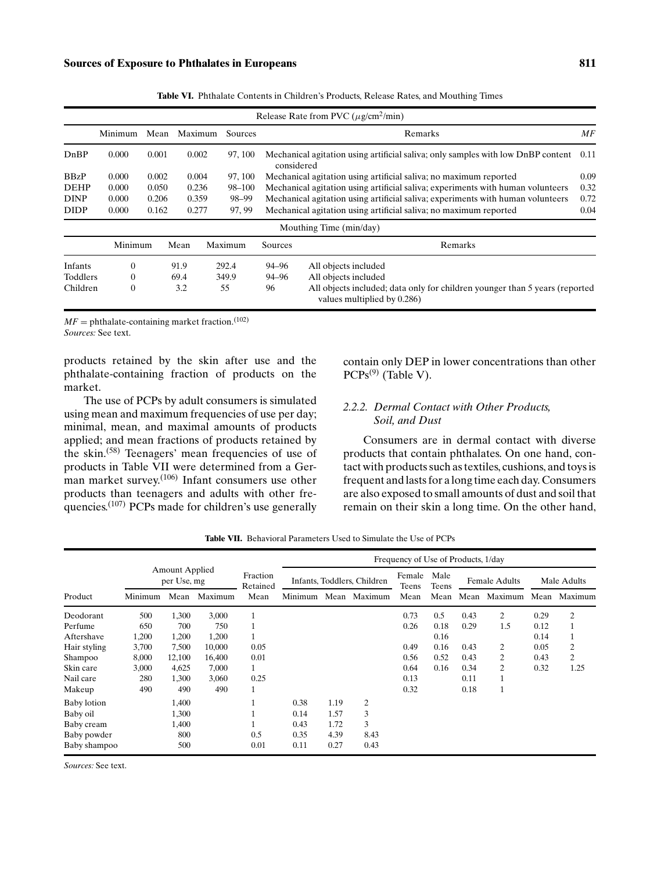**Table VI.** Phthalate Contents in Children's Products, Release Rates, and Mouthing Times

|             |         |       |         |                |            | Release Rate from PVC ( $\mu$ g/cm <sup>2</sup> /min)                            |      |
|-------------|---------|-------|---------|----------------|------------|----------------------------------------------------------------------------------|------|
|             | Minimum | Mean  | Maximum | <b>Sources</b> |            | Remarks                                                                          | МF   |
| DnBP        | 0.000   | 0.001 | 0.002   | 97.100         | considered | Mechanical agitation using artificial saliva; only samples with low DnBP content | 0.11 |
| <b>BBzP</b> | 0.000   | 0.002 | 0.004   | 97.100         |            | Mechanical agitation using artificial saliva; no maximum reported                | 0.09 |
| <b>DEHP</b> | 0.000   | 0.050 | 0.236   | 98–100         |            | Mechanical agitation using artificial saliva; experiments with human volunteers  | 0.32 |
| <b>DINP</b> | 0.000   | 0.206 | 0.359   | 98-99          |            | Mechanical agitation using artificial saliva; experiments with human volunteers  | 0.72 |
| <b>DIDP</b> | 0.000   | 0.162 | 0.277   | 97, 99         |            | Mechanical agitation using artificial saliva; no maximum reported                | 0.04 |
|             |         |       |         |                |            | Mouthing Time (min/day)                                                          |      |
|             | Minimum |       | Mean    | Maximum        | Sources    | Remarks                                                                          |      |
| Infants     | 0       |       | 91.9    | 292.4          | 94–96      | All objects included                                                             |      |
| Toddlers    | 0       |       | 69.4    | 349.9          | 94–96      | All objects included                                                             |      |
| Children    | 0       |       | 3.2     | 55             | 96         | All objects included: data only for children younger than 5 years (reported      |      |

values multiplied by 0.286)

 $MF =$  phthalate-containing market fraction.<sup>(102)</sup>

*Sources:* See text.

products retained by the skin after use and the phthalate-containing fraction of products on the market.

The use of PCPs by adult consumers is simulated using mean and maximum frequencies of use per day; minimal, mean, and maximal amounts of products applied; and mean fractions of products retained by the skin.(58) Teenagers' mean frequencies of use of products in Table VII were determined from a German market survey. $(106)$  Infant consumers use other products than teenagers and adults with other frequencies. $(107)$  PCPs made for children's use generally

contain only DEP in lower concentrations than other  $PCPs^{(9)}$  (Table V).

# *2.2.2. Dermal Contact with Other Products, Soil, and Dust*

Consumers are in dermal contact with diverse products that contain phthalates. On one hand, contact with products such as textiles, cushions, and toys is frequent and lasts for a long time each day. Consumers are also exposed to small amounts of dust and soil that remain on their skin a long time. On the other hand,

|              |         |                               |         |                      |         |      |                             | Frequency of Use of Products, 1/day |               |      |                |      |                |
|--------------|---------|-------------------------------|---------|----------------------|---------|------|-----------------------------|-------------------------------------|---------------|------|----------------|------|----------------|
|              |         | Amount Applied<br>per Use, mg |         | Fraction<br>Retained |         |      | Infants, Toddlers, Children | Female<br>Teens                     | Male<br>Teens |      | Female Adults  |      | Male Adults    |
| Product      | Minimum | Mean                          | Maximum | Mean                 | Minimum | Mean | Maximum                     | Mean                                | Mean          | Mean | Maximum        | Mean | Maximum        |
| Deodorant    | 500     | 1,300                         | 3,000   |                      |         |      |                             | 0.73                                | 0.5           | 0.43 | 2              | 0.29 | $\overline{2}$ |
| Perfume      | 650     | 700                           | 750     |                      |         |      |                             | 0.26                                | 0.18          | 0.29 | 1.5            | 0.12 |                |
| Aftershave   | 1,200   | 1,200                         | 1,200   |                      |         |      |                             |                                     | 0.16          |      |                | 0.14 |                |
| Hair styling | 3,700   | 7,500                         | 10,000  | 0.05                 |         |      |                             | 0.49                                | 0.16          | 0.43 | 2              | 0.05 | 2              |
| Shampoo      | 8,000   | 12,100                        | 16,400  | 0.01                 |         |      |                             | 0.56                                | 0.52          | 0.43 | 2              | 0.43 | $\overline{2}$ |
| Skin care    | 3,000   | 4,625                         | 7,000   |                      |         |      |                             | 0.64                                | 0.16          | 0.34 | $\overline{c}$ | 0.32 | 1.25           |
| Nail care    | 280     | 1,300                         | 3,060   | 0.25                 |         |      |                             | 0.13                                |               | 0.11 | 1              |      |                |
| Makeup       | 490     | 490                           | 490     | 1                    |         |      |                             | 0.32                                |               | 0.18 |                |      |                |
| Baby lotion  |         | 1,400                         |         |                      | 0.38    | 1.19 | $\overline{c}$              |                                     |               |      |                |      |                |
| Baby oil     |         | 1,300                         |         |                      | 0.14    | 1.57 | 3                           |                                     |               |      |                |      |                |
| Baby cream   |         | 1,400                         |         |                      | 0.43    | 1.72 | 3                           |                                     |               |      |                |      |                |
| Baby powder  |         | 800                           |         | 0.5                  | 0.35    | 4.39 | 8.43                        |                                     |               |      |                |      |                |
| Baby shampoo |         | 500                           |         | 0.01                 | 0.11    | 0.27 | 0.43                        |                                     |               |      |                |      |                |

**Table VII.** Behavioral Parameters Used to Simulate the Use of PCPs

*Sources:* See text.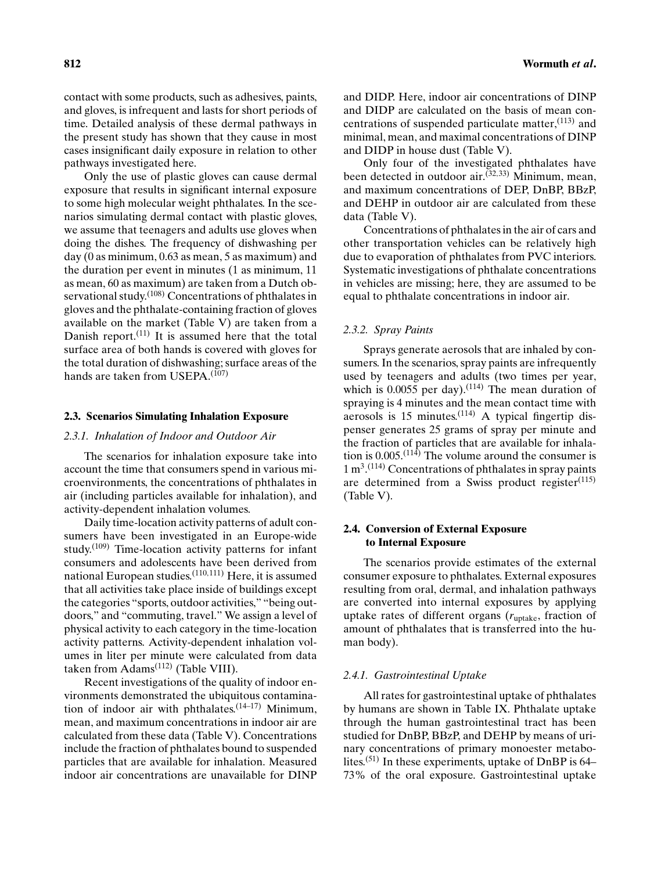contact with some products, such as adhesives, paints, and gloves, is infrequent and lasts for short periods of time. Detailed analysis of these dermal pathways in the present study has shown that they cause in most cases insignificant daily exposure in relation to other pathways investigated here.

Only the use of plastic gloves can cause dermal exposure that results in significant internal exposure to some high molecular weight phthalates. In the scenarios simulating dermal contact with plastic gloves, we assume that teenagers and adults use gloves when doing the dishes. The frequency of dishwashing per day (0 as minimum, 0.63 as mean, 5 as maximum) and the duration per event in minutes (1 as minimum, 11 as mean, 60 as maximum) are taken from a Dutch observational study.<sup>(108)</sup> Concentrations of phthalates in gloves and the phthalate-containing fraction of gloves available on the market (Table V) are taken from a Danish report.<sup> $(11)$ </sup> It is assumed here that the total surface area of both hands is covered with gloves for the total duration of dishwashing; surface areas of the hands are taken from USEPA.<sup>(107)</sup>

#### **2.3. Scenarios Simulating Inhalation Exposure**

## *2.3.1. Inhalation of Indoor and Outdoor Air*

The scenarios for inhalation exposure take into account the time that consumers spend in various microenvironments, the concentrations of phthalates in air (including particles available for inhalation), and activity-dependent inhalation volumes.

Daily time-location activity patterns of adult consumers have been investigated in an Europe-wide study.(109) Time-location activity patterns for infant consumers and adolescents have been derived from national European studies. $(110,111)$  Here, it is assumed that all activities take place inside of buildings except the categories "sports, outdoor activities," "being outdoors," and "commuting, travel." We assign a level of physical activity to each category in the time-location activity patterns. Activity-dependent inhalation volumes in liter per minute were calculated from data taken from Adams(112) (Table VIII).

Recent investigations of the quality of indoor environments demonstrated the ubiquitous contamination of indoor air with phthalates.<sup> $(14-17)$ </sup> Minimum, mean, and maximum concentrations in indoor air are calculated from these data (Table V). Concentrations include the fraction of phthalates bound to suspended particles that are available for inhalation. Measured indoor air concentrations are unavailable for DINP and DIDP. Here, indoor air concentrations of DINP and DIDP are calculated on the basis of mean concentrations of suspended particulate matter, $(113)$  and minimal, mean, and maximal concentrations of DINP and DIDP in house dust (Table V).

Only four of the investigated phthalates have been detected in outdoor air.<sup> $(32,33)$ </sup> Minimum, mean, and maximum concentrations of DEP, DnBP, BBzP, and DEHP in outdoor air are calculated from these data (Table V).

Concentrations of phthalates in the air of cars and other transportation vehicles can be relatively high due to evaporation of phthalates from PVC interiors. Systematic investigations of phthalate concentrations in vehicles are missing; here, they are assumed to be equal to phthalate concentrations in indoor air.

#### *2.3.2. Spray Paints*

Sprays generate aerosols that are inhaled by consumers. In the scenarios, spray paints are infrequently used by teenagers and adults (two times per year, which is  $0.0055$  per day).<sup>(114)</sup> The mean duration of spraying is 4 minutes and the mean contact time with aerosols is 15 minutes. $(114)$  A typical fingertip dispenser generates 25 grams of spray per minute and the fraction of particles that are available for inhalation is  $0.005$ .<sup>(114)</sup> The volume around the consumer is  $1 \text{ m}^3$ . (114) Concentrations of phthalates in spray paints are determined from a Swiss product register $(115)$ (Table V).

## **2.4. Conversion of External Exposure to Internal Exposure**

The scenarios provide estimates of the external consumer exposure to phthalates. External exposures resulting from oral, dermal, and inhalation pathways are converted into internal exposures by applying uptake rates of different organs (*r*uptake, fraction of amount of phthalates that is transferred into the human body).

## *2.4.1. Gastrointestinal Uptake*

All rates for gastrointestinal uptake of phthalates by humans are shown in Table IX. Phthalate uptake through the human gastrointestinal tract has been studied for DnBP, BBzP, and DEHP by means of urinary concentrations of primary monoester metabolites.<sup> $(51)$ </sup> In these experiments, uptake of DnBP is 64– 73% of the oral exposure. Gastrointestinal uptake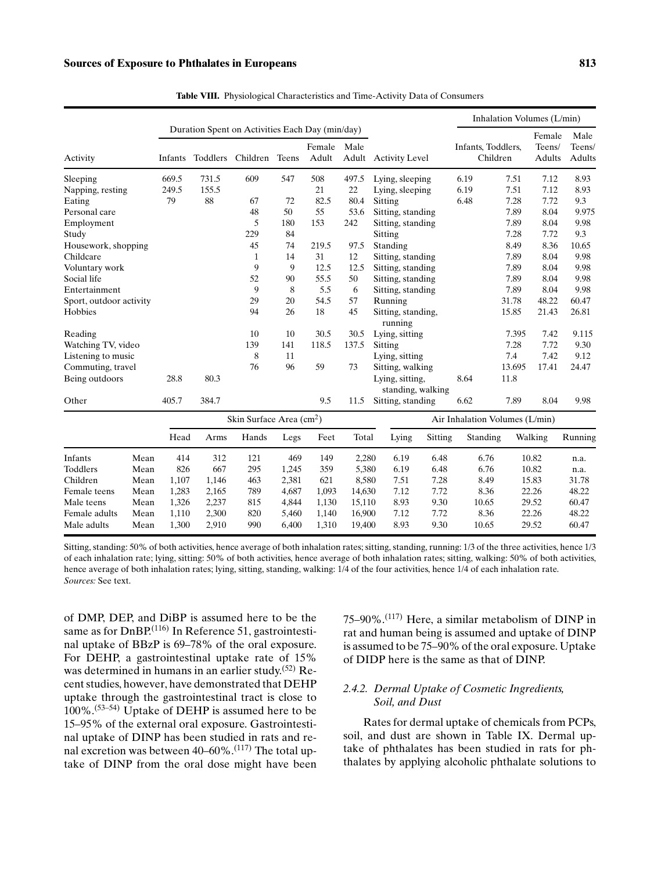|                         |      |         |                                                 |                                      |       |                 |        |                               |         |      |                                |        | Inhalation Volumes (L/min) |                          |
|-------------------------|------|---------|-------------------------------------------------|--------------------------------------|-------|-----------------|--------|-------------------------------|---------|------|--------------------------------|--------|----------------------------|--------------------------|
| Activity                |      | Infants | Duration Spent on Activities Each Day (min/day) | Toddlers Children Teens              |       | Female<br>Adult | Male   | Adult Activity Level          |         |      | Infants, Toddlers,<br>Children |        | Female<br>Teens/<br>Adults | Male<br>Teens/<br>Adults |
| Sleeping                |      | 669.5   | 731.5                                           | 609                                  | 547   | 508             | 497.5  | Lying, sleeping               |         | 6.19 |                                | 7.51   | 7.12                       | 8.93                     |
| Napping, resting        |      | 249.5   | 155.5                                           |                                      |       | 21              | 22     | Lying, sleeping               |         | 6.19 |                                | 7.51   | 7.12                       | 8.93                     |
| Eating                  |      | 79      | 88                                              | 67                                   | 72    | 82.5            | 80.4   | Sitting                       |         | 6.48 |                                | 7.28   | 7.72                       | 9.3                      |
| Personal care           |      |         |                                                 | 48                                   | 50    | 55              | 53.6   | Sitting, standing             |         |      |                                | 7.89   | 8.04                       | 9.975                    |
| Employment              |      |         |                                                 | 5                                    | 180   | 153             | 242    | Sitting, standing             |         |      |                                | 7.89   | 8.04                       | 9.98                     |
| Study                   |      |         |                                                 | 229                                  | 84    |                 |        | Sitting                       |         |      |                                | 7.28   | 7.72                       | 9.3                      |
| Housework, shopping     |      |         |                                                 | 45                                   | 74    | 219.5           | 97.5   | Standing                      |         |      |                                | 8.49   | 8.36                       | 10.65                    |
| Childcare               |      |         |                                                 | 1                                    | 14    | 31              | 12     | Sitting, standing             |         |      |                                | 7.89   | 8.04                       | 9.98                     |
| Voluntary work          |      |         |                                                 | 9                                    | 9     | 12.5            | 12.5   | Sitting, standing             |         |      |                                | 7.89   | 8.04                       | 9.98                     |
| Social life             |      |         |                                                 | 52                                   | 90    | 55.5            | 50     | Sitting, standing             |         |      |                                | 7.89   | 8.04                       | 9.98                     |
| Entertainment           |      |         |                                                 | 9                                    | 8     | 5.5             | 6      | Sitting, standing             |         |      |                                | 7.89   | 8.04                       | 9.98                     |
| Sport, outdoor activity |      |         |                                                 | 29                                   | 20    | 54.5            | 57     | Running                       |         |      |                                | 31.78  | 48.22                      | 60.47                    |
| Hobbies                 |      |         |                                                 | 94                                   | 26    | 18              | 45     | Sitting, standing,<br>running |         |      |                                | 15.85  | 21.43                      | 26.81                    |
| Reading                 |      |         |                                                 | 10                                   | 10    | 30.5            | 30.5   | Lying, sitting                |         |      |                                | 7.395  | 7.42                       | 9.115                    |
| Watching TV, video      |      |         |                                                 | 139                                  | 141   | 118.5           | 137.5  | Sitting                       |         |      |                                | 7.28   | 7.72                       | 9.30                     |
| Listening to music      |      |         |                                                 | 8                                    | 11    |                 |        | Lying, sitting                |         |      |                                | 7.4    | 7.42                       | 9.12                     |
| Commuting, travel       |      |         |                                                 | 76                                   | 96    | 59              | 73     | Sitting, walking              |         |      |                                | 13.695 | 17.41                      | 24.47                    |
| Being outdoors          |      | 28.8    | 80.3                                            |                                      |       |                 |        | Lying, sitting,               |         | 8.64 |                                | 11.8   |                            |                          |
|                         |      |         |                                                 |                                      |       |                 |        | standing, walking             |         |      |                                |        |                            |                          |
| Other                   |      | 405.7   | 384.7                                           |                                      |       | 9.5             | 11.5   | Sitting, standing             |         | 6.62 |                                | 7.89   | 8.04                       | 9.98                     |
|                         |      |         |                                                 | Skin Surface Area (cm <sup>2</sup> ) |       |                 |        |                               |         |      | Air Inhalation Volumes (L/min) |        |                            |                          |
|                         |      | Head    | Arms                                            | Hands                                | Legs  | Feet            | Total  | Lying                         | Sitting |      | Standing                       |        | Walking                    | Running                  |
| Infants                 | Mean | 414     | 312                                             | 121                                  | 469   | 149             | 2,280  | 6.19                          | 6.48    |      | 6.76                           |        | 10.82                      | n.a.                     |
| Toddlers                | Mean | 826     | 667                                             | 295                                  | 1,245 | 359             | 5,380  | 6.19                          | 6.48    |      | 6.76                           |        | 10.82                      | n.a.                     |
| Children                | Mean | 1,107   | 1,146                                           | 463                                  | 2,381 | 621             | 8,580  | 7.51                          | 7.28    |      | 8.49                           |        | 15.83                      | 31.78                    |
| Female teens            | Mean | 1,283   | 2,165                                           | 789                                  | 4,687 | 1,093           | 14,630 | 7.12                          | 7.72    |      | 8.36                           |        | 22.26                      | 48.22                    |
| Male teens              | Mean | 1,326   | 2,237                                           | 815                                  | 4,844 | 1,130           | 15,110 | 8.93                          | 9.30    |      | 10.65                          |        | 29.52                      | 60.47                    |
| Female adults           | Mean | 1,110   | 2,300                                           | 820                                  | 5,460 | 1,140           | 16,900 | 7.12                          | 7.72    |      | 8.36                           |        | 22.26                      | 48.22                    |
| Male adults             | Mean | 1,300   | 2,910                                           | 990                                  | 6,400 | 1,310           | 19,400 | 8.93                          | 9.30    |      | 10.65                          |        | 29.52                      | 60.47                    |

**Table VIII.** Physiological Characteristics and Time-Activity Data of Consumers

Sitting, standing: 50% of both activities, hence average of both inhalation rates; sitting, standing, running: 1/3 of the three activities, hence 1/3 of each inhalation rate; lying, sitting: 50% of both activities, hence average of both inhalation rates; sitting, walking: 50% of both activities, hence average of both inhalation rates; lying, sitting, standing, walking: 1/4 of the four activities, hence 1/4 of each inhalation rate. *Sources:* See text.

of DMP, DEP, and DiBP is assumed here to be the same as for  $DnBP<sup>(116)</sup>$  In Reference 51, gastrointestinal uptake of BBzP is 69–78% of the oral exposure. For DEHP, a gastrointestinal uptake rate of 15% was determined in humans in an earlier study.(52) Recent studies, however, have demonstrated that DEHP uptake through the gastrointestinal tract is close to 100%.(53–54) Uptake of DEHP is assumed here to be 15–95% of the external oral exposure. Gastrointestinal uptake of DINP has been studied in rats and renal excretion was between 40–60%.(117) The total uptake of DINP from the oral dose might have been 75–90%.(117) Here, a similar metabolism of DINP in rat and human being is assumed and uptake of DINP is assumed to be 75–90% of the oral exposure. Uptake of DIDP here is the same as that of DINP.

# *2.4.2. Dermal Uptake of Cosmetic Ingredients, Soil, and Dust*

Rates for dermal uptake of chemicals from PCPs, soil, and dust are shown in Table IX. Dermal uptake of phthalates has been studied in rats for phthalates by applying alcoholic phthalate solutions to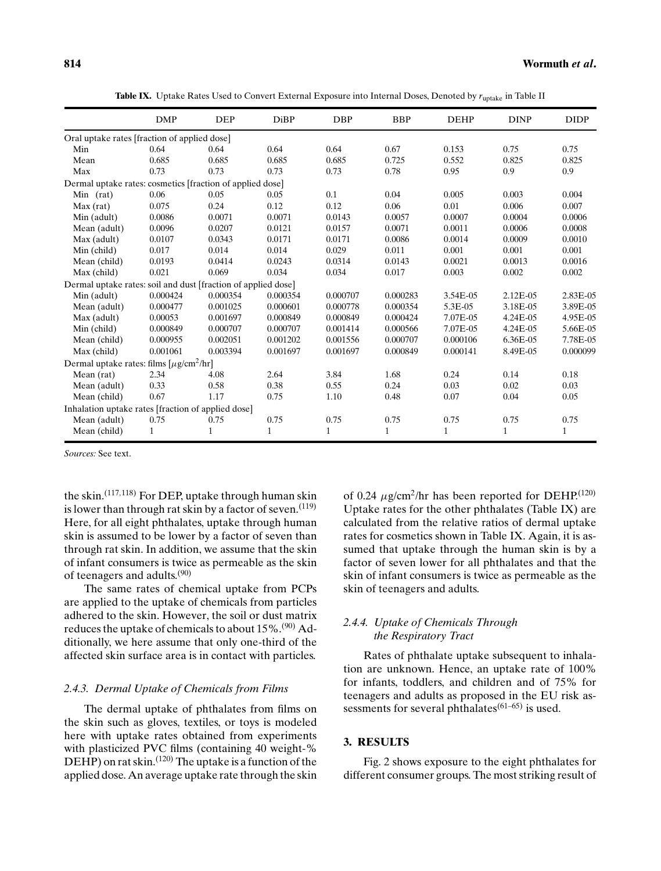|                                                               | <b>DMP</b>   | <b>DEP</b> | <b>DiBP</b> | <b>DBP</b> | <b>BBP</b> | <b>DEHP</b> | <b>DINP</b>  | <b>DIDP</b>  |
|---------------------------------------------------------------|--------------|------------|-------------|------------|------------|-------------|--------------|--------------|
| Oral uptake rates [fraction of applied dose]                  |              |            |             |            |            |             |              |              |
| Min                                                           | 0.64         | 0.64       | 0.64        | 0.64       | 0.67       | 0.153       | 0.75         | 0.75         |
| Mean                                                          | 0.685        | 0.685      | 0.685       | 0.685      | 0.725      | 0.552       | 0.825        | 0.825        |
| Max                                                           | 0.73         | 0.73       | 0.73        | 0.73       | 0.78       | 0.95        | 0.9          | 0.9          |
| Dermal uptake rates: cosmetics [fraction of applied dose]     |              |            |             |            |            |             |              |              |
| Min (rat)                                                     | 0.06         | 0.05       | 0.05        | 0.1        | 0.04       | 0.005       | 0.003        | 0.004        |
| Max (rat)                                                     | 0.075        | 0.24       | 0.12        | 0.12       | 0.06       | 0.01        | 0.006        | 0.007        |
| Min (adult)                                                   | 0.0086       | 0.0071     | 0.0071      | 0.0143     | 0.0057     | 0.0007      | 0.0004       | 0.0006       |
| Mean (adult)                                                  | 0.0096       | 0.0207     | 0.0121      | 0.0157     | 0.0071     | 0.0011      | 0.0006       | 0.0008       |
| Max (adult)                                                   | 0.0107       | 0.0343     | 0.0171      | 0.0171     | 0.0086     | 0.0014      | 0.0009       | 0.0010       |
| Min (child)                                                   | 0.017        | 0.014      | 0.014       | 0.029      | 0.011      | 0.001       | 0.001        | 0.001        |
| Mean (child)                                                  | 0.0193       | 0.0414     | 0.0243      | 0.0314     | 0.0143     | 0.0021      | 0.0013       | 0.0016       |
| Max (child)                                                   | 0.021        | 0.069      | 0.034       | 0.034      | 0.017      | 0.003       | 0.002        | 0.002        |
| Dermal uptake rates: soil and dust [fraction of applied dose] |              |            |             |            |            |             |              |              |
| Min (adult)                                                   | 0.000424     | 0.000354   | 0.000354    | 0.000707   | 0.000283   | 3.54E-05    | 2.12E-05     | 2.83E-05     |
| Mean (adult)                                                  | 0.000477     | 0.001025   | 0.000601    | 0.000778   | 0.000354   | 5.3E-05     | 3.18E-05     | 3.89E-05     |
| Max (adult)                                                   | 0.00053      | 0.001697   | 0.000849    | 0.000849   | 0.000424   | 7.07E-05    | 4.24E-05     | 4.95E-05     |
| Min (child)                                                   | 0.000849     | 0.000707   | 0.000707    | 0.001414   | 0.000566   | 7.07E-05    | $4.24E - 05$ | 5.66E-05     |
| Mean (child)                                                  | 0.000955     | 0.002051   | 0.001202    | 0.001556   | 0.000707   | 0.000106    | 6.36E-05     | 7.78E-05     |
| Max (child)                                                   | 0.001061     | 0.003394   | 0.001697    | 0.001697   | 0.000849   | 0.000141    | 8.49E-05     | 0.000099     |
| Dermal uptake rates: films $[\mu g/cm^2/hr]$                  |              |            |             |            |            |             |              |              |
| Mean $(rat)$                                                  | 2.34         | 4.08       | 2.64        | 3.84       | 1.68       | 0.24        | 0.14         | 0.18         |
| Mean (adult)                                                  | 0.33         | 0.58       | 0.38        | 0.55       | 0.24       | 0.03        | 0.02         | 0.03         |
| Mean (child)                                                  | 0.67         | 1.17       | 0.75        | 1.10       | 0.48       | 0.07        | 0.04         | 0.05         |
| Inhalation uptake rates [fraction of applied dose]            |              |            |             |            |            |             |              |              |
| Mean (adult)                                                  | 0.75         | 0.75       | 0.75        | 0.75       | 0.75       | 0.75        | 0.75         | 0.75         |
| Mean (child)                                                  | $\mathbf{1}$ | 1          | 1           | 1          | 1          | 1           | 1            | $\mathbf{1}$ |

**Table IX.** Uptake Rates Used to Convert External Exposure into Internal Doses, Denoted by *r*uptake in Table II

*Sources:* See text.

the skin.(117,118) For DEP, uptake through human skin is lower than through rat skin by a factor of seven.<sup> $(119)$ </sup> Here, for all eight phthalates, uptake through human skin is assumed to be lower by a factor of seven than through rat skin. In addition, we assume that the skin of infant consumers is twice as permeable as the skin of teenagers and adults.(90)

The same rates of chemical uptake from PCPs are applied to the uptake of chemicals from particles adhered to the skin. However, the soil or dust matrix reduces the uptake of chemicals to about 15%.(90) Additionally, we here assume that only one-third of the affected skin surface area is in contact with particles.

## *2.4.3. Dermal Uptake of Chemicals from Films*

The dermal uptake of phthalates from films on the skin such as gloves, textiles, or toys is modeled here with uptake rates obtained from experiments with plasticized PVC films (containing 40 weight-% DEHP) on rat skin.<sup> $(120)$ </sup> The uptake is a function of the applied dose. An average uptake rate through the skin of 0.24  $\mu$ g/cm<sup>2</sup>/hr has been reported for DEHP.<sup>(120)</sup> Uptake rates for the other phthalates (Table IX) are calculated from the relative ratios of dermal uptake rates for cosmetics shown in Table IX. Again, it is assumed that uptake through the human skin is by a factor of seven lower for all phthalates and that the skin of infant consumers is twice as permeable as the skin of teenagers and adults.

# *2.4.4. Uptake of Chemicals Through the Respiratory Tract*

Rates of phthalate uptake subsequent to inhalation are unknown. Hence, an uptake rate of 100% for infants, toddlers, and children and of 75% for teenagers and adults as proposed in the EU risk assessments for several phthalates<sup>( $61–65$ )</sup> is used.

# **3. RESULTS**

Fig. 2 shows exposure to the eight phthalates for different consumer groups. The most striking result of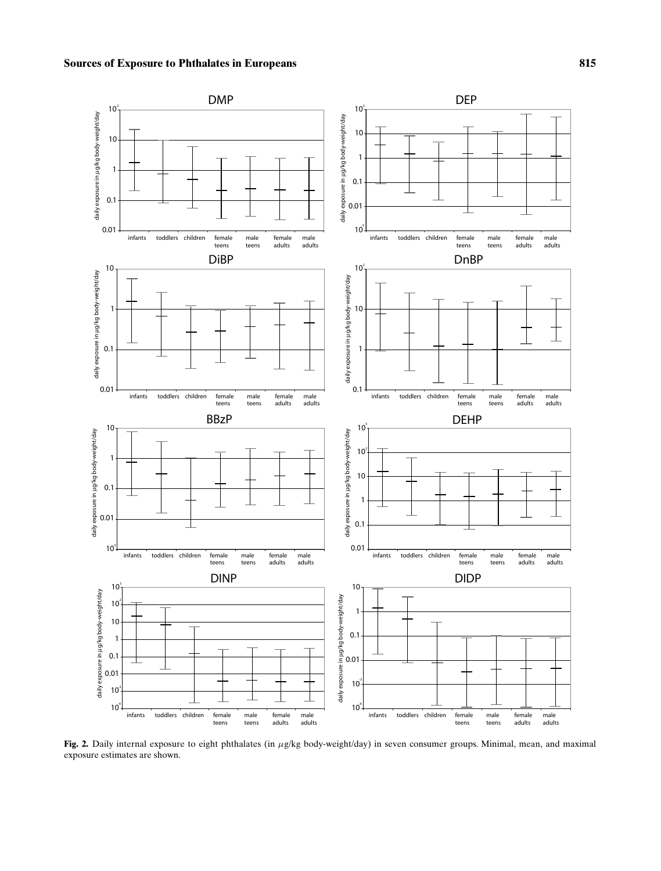

**Fig. 2.** Daily internal exposure to eight phthalates (in μg/kg body-weight/day) in seven consumer groups. Minimal, mean, and maximal exposure estimates are shown.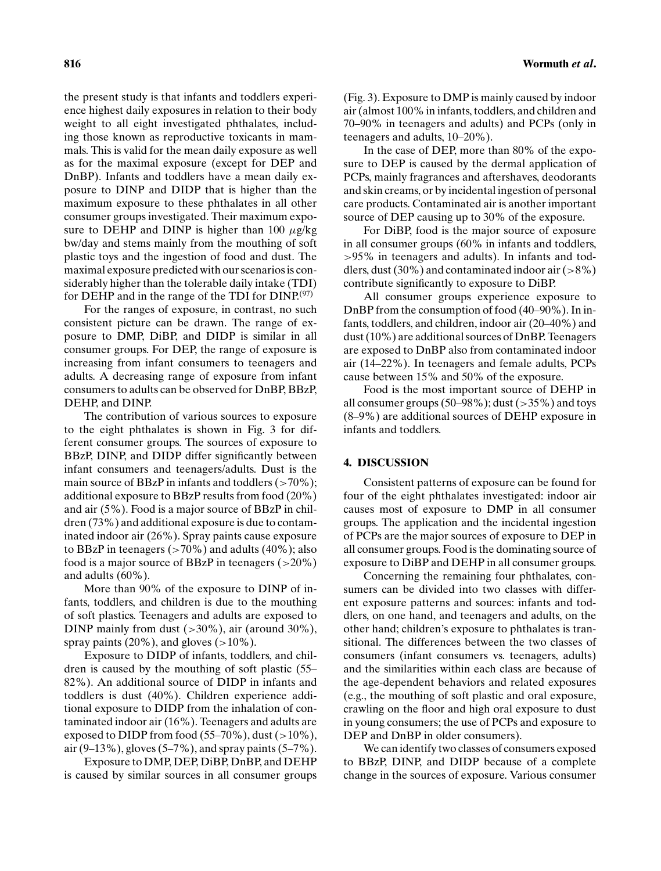the present study is that infants and toddlers experience highest daily exposures in relation to their body weight to all eight investigated phthalates, including those known as reproductive toxicants in mammals. This is valid for the mean daily exposure as well as for the maximal exposure (except for DEP and DnBP). Infants and toddlers have a mean daily exposure to DINP and DIDP that is higher than the maximum exposure to these phthalates in all other consumer groups investigated. Their maximum exposure to DEHP and DINP is higher than 100  $\mu$ g/kg bw/day and stems mainly from the mouthing of soft plastic toys and the ingestion of food and dust. The maximal exposure predicted with our scenarios is considerably higher than the tolerable daily intake (TDI) for DEHP and in the range of the TDI for  $DINP^{(97)}$ .

For the ranges of exposure, in contrast, no such consistent picture can be drawn. The range of exposure to DMP, DiBP, and DIDP is similar in all consumer groups. For DEP, the range of exposure is increasing from infant consumers to teenagers and adults. A decreasing range of exposure from infant consumers to adults can be observed for DnBP, BBzP, DEHP, and DINP.

The contribution of various sources to exposure to the eight phthalates is shown in Fig. 3 for different consumer groups. The sources of exposure to BBzP, DINP, and DIDP differ significantly between infant consumers and teenagers/adults. Dust is the main source of BBzP in infants and toddlers  $($  >70%); additional exposure to BBzP results from food (20%) and air (5%). Food is a major source of BBzP in children (73%) and additional exposure is due to contaminated indoor air (26%). Spray paints cause exposure to BBzP in teenagers  $(>70\%)$  and adults  $(40\%)$ ; also food is a major source of BBzP in teenagers  $(>20\%)$ and adults (60%).

More than 90% of the exposure to DINP of infants, toddlers, and children is due to the mouthing of soft plastics. Teenagers and adults are exposed to DINP mainly from dust  $($ >30%), air (around 30%), spray paints  $(20\%)$ , and gloves  $(>10\%)$ .

Exposure to DIDP of infants, toddlers, and children is caused by the mouthing of soft plastic (55– 82%). An additional source of DIDP in infants and toddlers is dust (40%). Children experience additional exposure to DIDP from the inhalation of contaminated indoor air (16%). Teenagers and adults are exposed to DIDP from food  $(55-70\%)$ , dust  $(>10\%)$ , air (9–13%), gloves (5–7%), and spray paints (5–7%).

Exposure to DMP, DEP, DiBP, DnBP, and DEHP is caused by similar sources in all consumer groups (Fig. 3). Exposure to DMP is mainly caused by indoor air (almost 100% in infants, toddlers, and children and 70–90% in teenagers and adults) and PCPs (only in teenagers and adults, 10–20%).

In the case of DEP, more than 80% of the exposure to DEP is caused by the dermal application of PCPs, mainly fragrances and aftershaves, deodorants and skin creams, or by incidental ingestion of personal care products. Contaminated air is another important source of DEP causing up to 30% of the exposure.

For DiBP, food is the major source of exposure in all consumer groups (60% in infants and toddlers, >95% in teenagers and adults). In infants and toddlers, dust (30%) and contaminated indoor air  $(>8\%)$ contribute significantly to exposure to DiBP.

All consumer groups experience exposure to DnBP from the consumption of food (40–90%). In infants, toddlers, and children, indoor air (20–40%) and dust (10%) are additional sources of DnBP. Teenagers are exposed to DnBP also from contaminated indoor air (14–22%). In teenagers and female adults, PCPs cause between 15% and 50% of the exposure.

Food is the most important source of DEHP in all consumer groups (50–98%); dust  $(>35\%)$  and toys (8–9%) are additional sources of DEHP exposure in infants and toddlers.

# **4. DISCUSSION**

Consistent patterns of exposure can be found for four of the eight phthalates investigated: indoor air causes most of exposure to DMP in all consumer groups. The application and the incidental ingestion of PCPs are the major sources of exposure to DEP in all consumer groups. Food is the dominating source of exposure to DiBP and DEHP in all consumer groups.

Concerning the remaining four phthalates, consumers can be divided into two classes with different exposure patterns and sources: infants and toddlers, on one hand, and teenagers and adults, on the other hand; children's exposure to phthalates is transitional. The differences between the two classes of consumers (infant consumers vs. teenagers, adults) and the similarities within each class are because of the age-dependent behaviors and related exposures (e.g., the mouthing of soft plastic and oral exposure, crawling on the floor and high oral exposure to dust in young consumers; the use of PCPs and exposure to DEP and DnBP in older consumers).

We can identify two classes of consumers exposed to BBzP, DINP, and DIDP because of a complete change in the sources of exposure. Various consumer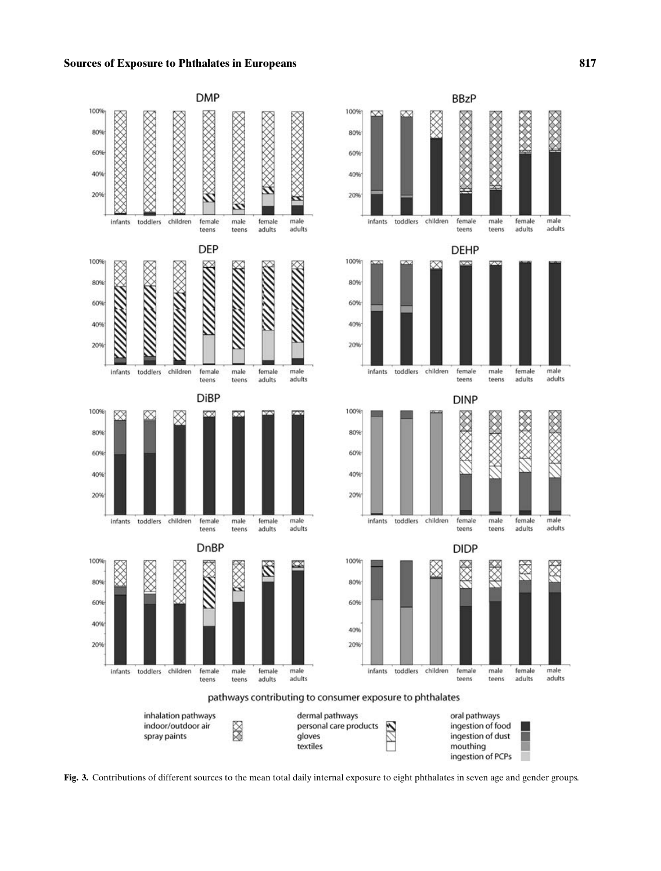

**Fig. 3.** Contributions of different sources to the mean total daily internal exposure to eight phthalates in seven age and gender groups.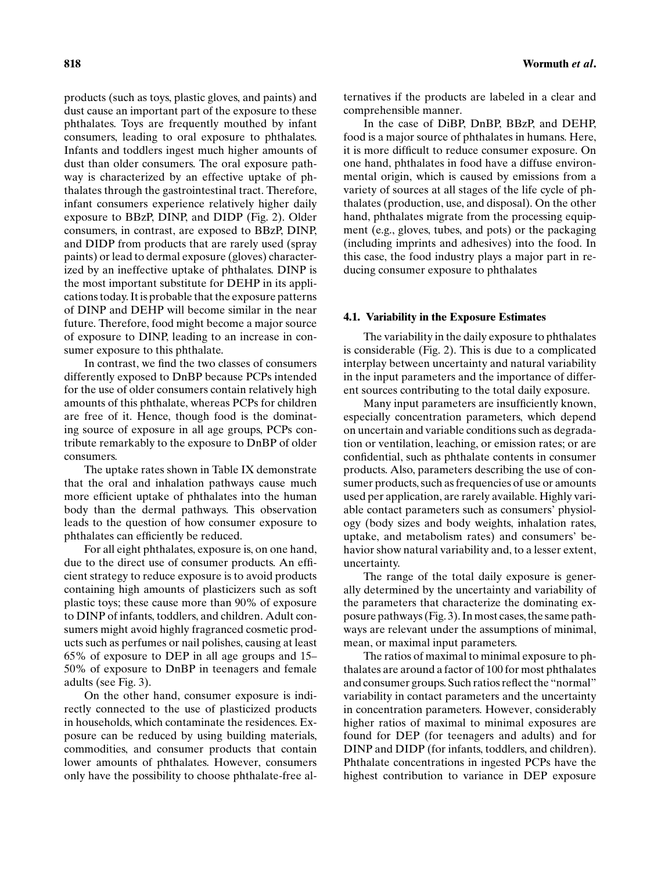products (such as toys, plastic gloves, and paints) and dust cause an important part of the exposure to these phthalates. Toys are frequently mouthed by infant consumers, leading to oral exposure to phthalates. Infants and toddlers ingest much higher amounts of dust than older consumers. The oral exposure pathway is characterized by an effective uptake of phthalates through the gastrointestinal tract. Therefore, infant consumers experience relatively higher daily exposure to BBzP, DINP, and DIDP (Fig. 2). Older consumers, in contrast, are exposed to BBzP, DINP, and DIDP from products that are rarely used (spray paints) or lead to dermal exposure (gloves) characterized by an ineffective uptake of phthalates. DINP is the most important substitute for DEHP in its applications today. It is probable that the exposure patterns of DINP and DEHP will become similar in the near future. Therefore, food might become a major source of exposure to DINP, leading to an increase in consumer exposure to this phthalate.

In contrast, we find the two classes of consumers differently exposed to DnBP because PCPs intended for the use of older consumers contain relatively high amounts of this phthalate, whereas PCPs for children are free of it. Hence, though food is the dominating source of exposure in all age groups, PCPs contribute remarkably to the exposure to DnBP of older consumers.

The uptake rates shown in Table IX demonstrate that the oral and inhalation pathways cause much more efficient uptake of phthalates into the human body than the dermal pathways. This observation leads to the question of how consumer exposure to phthalates can efficiently be reduced.

For all eight phthalates, exposure is, on one hand, due to the direct use of consumer products. An efficient strategy to reduce exposure is to avoid products containing high amounts of plasticizers such as soft plastic toys; these cause more than 90% of exposure to DINP of infants, toddlers, and children. Adult consumers might avoid highly fragranced cosmetic products such as perfumes or nail polishes, causing at least 65% of exposure to DEP in all age groups and 15– 50% of exposure to DnBP in teenagers and female adults (see Fig. 3).

On the other hand, consumer exposure is indirectly connected to the use of plasticized products in households, which contaminate the residences. Exposure can be reduced by using building materials, commodities, and consumer products that contain lower amounts of phthalates. However, consumers only have the possibility to choose phthalate-free alternatives if the products are labeled in a clear and comprehensible manner.

In the case of DiBP, DnBP, BBzP, and DEHP, food is a major source of phthalates in humans. Here, it is more difficult to reduce consumer exposure. On one hand, phthalates in food have a diffuse environmental origin, which is caused by emissions from a variety of sources at all stages of the life cycle of phthalates (production, use, and disposal). On the other hand, phthalates migrate from the processing equipment (e.g., gloves, tubes, and pots) or the packaging (including imprints and adhesives) into the food. In this case, the food industry plays a major part in reducing consumer exposure to phthalates

## **4.1. Variability in the Exposure Estimates**

The variability in the daily exposure to phthalates is considerable (Fig. 2). This is due to a complicated interplay between uncertainty and natural variability in the input parameters and the importance of different sources contributing to the total daily exposure.

Many input parameters are insufficiently known, especially concentration parameters, which depend on uncertain and variable conditions such as degradation or ventilation, leaching, or emission rates; or are confidential, such as phthalate contents in consumer products. Also, parameters describing the use of consumer products, such as frequencies of use or amounts used per application, are rarely available. Highly variable contact parameters such as consumers' physiology (body sizes and body weights, inhalation rates, uptake, and metabolism rates) and consumers' behavior show natural variability and, to a lesser extent, uncertainty.

The range of the total daily exposure is generally determined by the uncertainty and variability of the parameters that characterize the dominating exposure pathways (Fig. 3). In most cases, the same pathways are relevant under the assumptions of minimal, mean, or maximal input parameters.

The ratios of maximal to minimal exposure to phthalates are around a factor of 100 for most phthalates and consumer groups. Such ratios reflect the "normal" variability in contact parameters and the uncertainty in concentration parameters. However, considerably higher ratios of maximal to minimal exposures are found for DEP (for teenagers and adults) and for DINP and DIDP (for infants, toddlers, and children). Phthalate concentrations in ingested PCPs have the highest contribution to variance in DEP exposure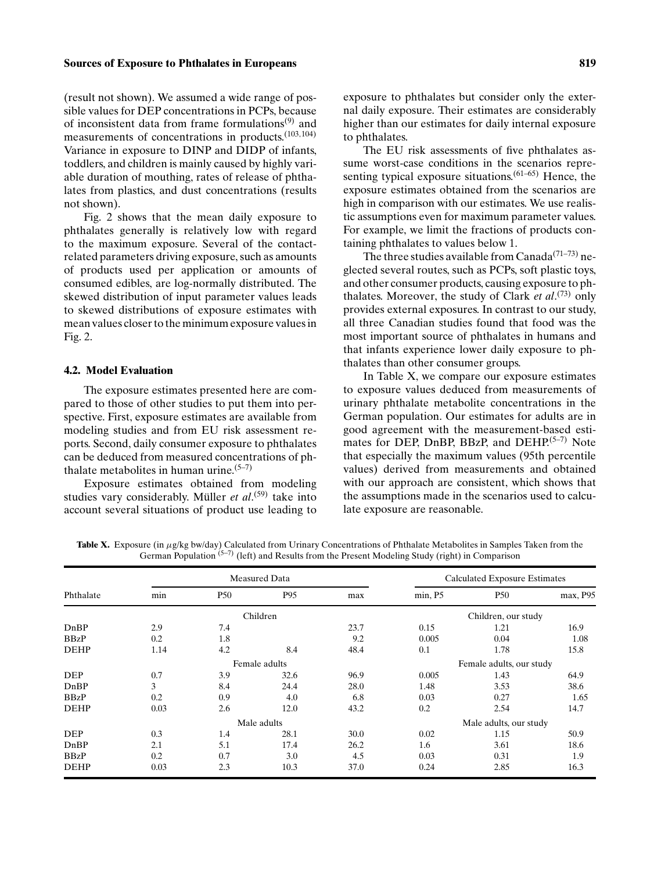(result not shown). We assumed a wide range of possible values for DEP concentrations in PCPs, because of inconsistent data from frame formulations(9) and measurements of concentrations in products.(103,104) Variance in exposure to DINP and DIDP of infants, toddlers, and children is mainly caused by highly variable duration of mouthing, rates of release of phthalates from plastics, and dust concentrations (results not shown).

Fig. 2 shows that the mean daily exposure to phthalates generally is relatively low with regard to the maximum exposure. Several of the contactrelated parameters driving exposure, such as amounts of products used per application or amounts of consumed edibles, are log-normally distributed. The skewed distribution of input parameter values leads to skewed distributions of exposure estimates with mean values closer to the minimum exposure values in Fig. 2.

## **4.2. Model Evaluation**

The exposure estimates presented here are compared to those of other studies to put them into perspective. First, exposure estimates are available from modeling studies and from EU risk assessment reports. Second, daily consumer exposure to phthalates can be deduced from measured concentrations of phthalate metabolites in human urine.(5–7)

Exposure estimates obtained from modeling studies vary considerably. Müller *et al*.<sup>(59)</sup> take into account several situations of product use leading to exposure to phthalates but consider only the external daily exposure. Their estimates are considerably higher than our estimates for daily internal exposure to phthalates.

The EU risk assessments of five phthalates assume worst-case conditions in the scenarios representing typical exposure situations.<sup>(61–65)</sup> Hence, the exposure estimates obtained from the scenarios are high in comparison with our estimates. We use realistic assumptions even for maximum parameter values. For example, we limit the fractions of products containing phthalates to values below 1.

The three studies available from Canada<sup>(71-73)</sup> neglected several routes, such as PCPs, soft plastic toys, and other consumer products, causing exposure to phthalates. Moreover, the study of Clark *et al.*<sup>(73)</sup> only provides external exposures. In contrast to our study, all three Canadian studies found that food was the most important source of phthalates in humans and that infants experience lower daily exposure to phthalates than other consumer groups.

In Table X, we compare our exposure estimates to exposure values deduced from measurements of urinary phthalate metabolite concentrations in the German population. Our estimates for adults are in good agreement with the measurement-based estimates for DEP, DnBP, BBzP, and DEHP.<sup>(5-7)</sup> Note that especially the maximum values (95th percentile values) derived from measurements and obtained with our approach are consistent, which shows that the assumptions made in the scenarios used to calculate exposure are reasonable.

**Table X.** Exposure (in μg/kg bw/day) Calculated from Urinary Concentrations of Phthalate Metabolites in Samples Taken from the German Population (5–7) (left) and Results from the Present Modeling Study (right) in Comparison

|             |      |            | <b>Measured Data</b> |      |         | <b>Calculated Exposure Estimates</b> |          |
|-------------|------|------------|----------------------|------|---------|--------------------------------------|----------|
| Phthalate   | min  | <b>P50</b> | P95                  | max  | min, P5 | <b>P50</b>                           | max, P95 |
|             |      |            | Children             |      |         | Children, our study                  |          |
| DnBP        | 2.9  | 7.4        |                      | 23.7 | 0.15    | 1.21                                 | 16.9     |
| <b>BBzP</b> | 0.2  | 1.8        |                      | 9.2  | 0.005   | 0.04                                 | 1.08     |
| <b>DEHP</b> | 1.14 | 4.2        | 8.4                  | 48.4 | 0.1     | 1.78                                 | 15.8     |
|             |      |            | Female adults        |      |         | Female adults, our study             |          |
| DEP         | 0.7  | 3.9        | 32.6                 | 96.9 | 0.005   | 1.43                                 | 64.9     |
| DnBP        | 3    | 8.4        | 24.4                 | 28.0 | 1.48    | 3.53                                 | 38.6     |
| <b>BBzP</b> | 0.2  | 0.9        | 4.0                  | 6.8  | 0.03    | 0.27                                 | 1.65     |
| <b>DEHP</b> | 0.03 | 2.6        | 12.0                 | 43.2 | 0.2     | 2.54                                 | 14.7     |
|             |      |            | Male adults          |      |         | Male adults, our study               |          |
| DEP         | 0.3  | 1.4        | 28.1                 | 30.0 | 0.02    | 1.15                                 | 50.9     |
| DnBP        | 2.1  | 5.1        | 17.4                 | 26.2 | 1.6     | 3.61                                 | 18.6     |
| <b>BBzP</b> | 0.2  | 0.7        | 3.0                  | 4.5  | 0.03    | 0.31                                 | 1.9      |
| <b>DEHP</b> | 0.03 | 2.3        | 10.3                 | 37.0 | 0.24    | 2.85                                 | 16.3     |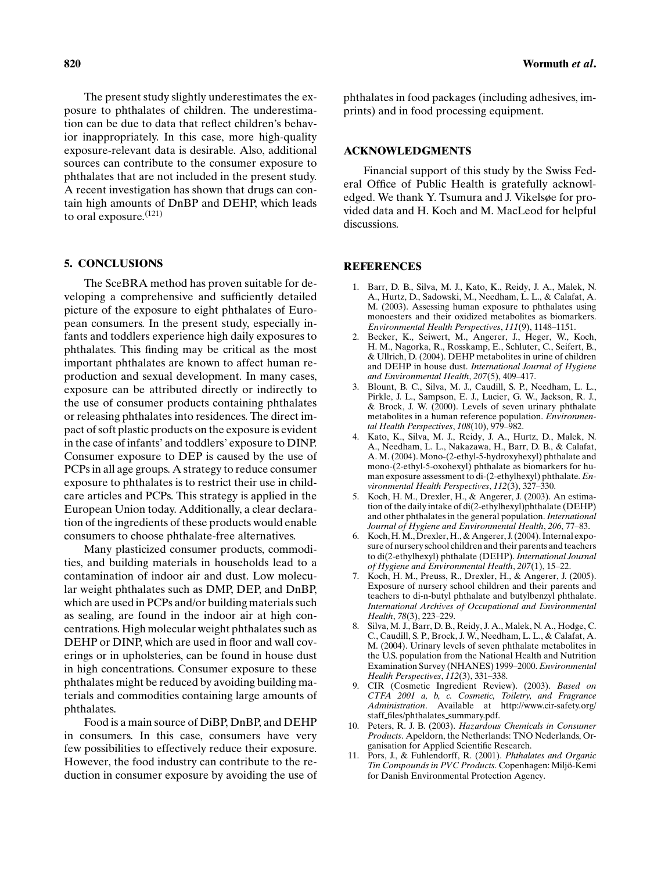The present study slightly underestimates the exposure to phthalates of children. The underestimation can be due to data that reflect children's behavior inappropriately. In this case, more high-quality exposure-relevant data is desirable. Also, additional sources can contribute to the consumer exposure to phthalates that are not included in the present study. A recent investigation has shown that drugs can contain high amounts of DnBP and DEHP, which leads to oral exposure.<sup>(121)</sup>

#### **5. CONCLUSIONS**

The SceBRA method has proven suitable for developing a comprehensive and sufficiently detailed picture of the exposure to eight phthalates of European consumers. In the present study, especially infants and toddlers experience high daily exposures to phthalates. This finding may be critical as the most important phthalates are known to affect human reproduction and sexual development. In many cases, exposure can be attributed directly or indirectly to the use of consumer products containing phthalates or releasing phthalates into residences. The direct impact of soft plastic products on the exposure is evident in the case of infants' and toddlers' exposure to DINP. Consumer exposure to DEP is caused by the use of PCPs in all age groups. A strategy to reduce consumer exposure to phthalates is to restrict their use in childcare articles and PCPs. This strategy is applied in the European Union today. Additionally, a clear declaration of the ingredients of these products would enable consumers to choose phthalate-free alternatives.

Many plasticized consumer products, commodities, and building materials in households lead to a contamination of indoor air and dust. Low molecular weight phthalates such as DMP, DEP, and DnBP, which are used in PCPs and/or building materials such as sealing, are found in the indoor air at high concentrations. High molecular weight phthalates such as DEHP or DINP, which are used in floor and wall coverings or in upholsteries, can be found in house dust in high concentrations. Consumer exposure to these phthalates might be reduced by avoiding building materials and commodities containing large amounts of phthalates.

Food is a main source of DiBP, DnBP, and DEHP in consumers. In this case, consumers have very few possibilities to effectively reduce their exposure. However, the food industry can contribute to the reduction in consumer exposure by avoiding the use of phthalates in food packages (including adhesives, imprints) and in food processing equipment.

# **ACKNOWLEDGMENTS**

Financial support of this study by the Swiss Federal Office of Public Health is gratefully acknowledged. We thank Y. Tsumura and J. Vikelsøe for provided data and H. Koch and M. MacLeod for helpful discussions.

#### **REFERENCES**

- 1. Barr, D. B., Silva, M. J., Kato, K., Reidy, J. A., Malek, N. A., Hurtz, D., Sadowski, M., Needham, L. L., & Calafat, A. M. (2003). Assessing human exposure to phthalates using monoesters and their oxidized metabolites as biomarkers. *Environmental Health Perspectives*, *111*(9), 1148–1151.
- 2. Becker, K., Seiwert, M., Angerer, J., Heger, W., Koch, H. M., Nagorka, R., Rosskamp, E., Schluter, C., Seifert, B., & Ullrich, D. (2004). DEHP metabolites in urine of children and DEHP in house dust. *International Journal of Hygiene and Environmental Health*, *207*(5), 409–417.
- 3. Blount, B. C., Silva, M. J., Caudill, S. P., Needham, L. L., Pirkle, J. L., Sampson, E. J., Lucier, G. W., Jackson, R. J., & Brock, J. W. (2000). Levels of seven urinary phthalate metabolites in a human reference population. *Environmental Health Perspectives*, *108*(10), 979–982.
- 4. Kato, K., Silva, M. J., Reidy, J. A., Hurtz, D., Malek, N. A., Needham, L. L., Nakazawa, H., Barr, D. B., & Calafat, A. M. (2004). Mono-(2-ethyl-5-hydroxyhexyl) phthalate and mono-(2-ethyl-5-oxohexyl) phthalate as biomarkers for human exposure assessment to di-(2-ethylhexyl) phthalate. *Environmental Health Perspectives*, *112*(3), 327–330.
- 5. Koch, H. M., Drexler, H., & Angerer, J. (2003). An estimation of the daily intake of di(2-ethylhexyl)phthalate (DEHP) and other phthalates in the general population. *International Journal of Hygiene and Environmental Health*, *206*, 77–83.
- 6. Koch, H. M., Drexler, H., & Angerer, J. (2004). Internal exposure of nursery school children and their parents and teachers to di(2-ethylhexyl) phthalate (DEHP). *International Journal of Hygiene and Environmental Health*, *207*(1), 15–22.
- 7. Koch, H. M., Preuss, R., Drexler, H., & Angerer, J. (2005). Exposure of nursery school children and their parents and teachers to di-n-butyl phthalate and butylbenzyl phthalate. *International Archives of Occupational and Environmental Health*, *78*(3), 223–229.
- 8. Silva, M. J., Barr, D. B., Reidy, J. A., Malek, N. A., Hodge, C. C., Caudill, S. P., Brock, J. W., Needham, L. L., & Calafat, A. M. (2004). Urinary levels of seven phthalate metabolites in the U.S. population from the National Health and Nutrition Examination Survey (NHANES) 1999–2000. *Environmental Health Perspectives*, *112*(3), 331–338.
- 9. CIR (Cosmetic Ingredient Review). (2003). *Based on CTFA 2001 a, b, c. Cosmetic, Toiletry, and Fragrance Administration*. Available at http://www.cir-safety.org/ staff files/phthalates summary.pdf.
- 10. Peters, R. J. B. (2003). *Hazardous Chemicals in Consumer Products*. Apeldorn, the Netherlands: TNO Nederlands, Organisation for Applied Scientific Research.
- 11. Pors, J., & Fuhlendorff, R. (2001). *Phthalates and Organic Tin Compounds in PVC Products*. Copenhagen: Miljö-Kemi for Danish Environmental Protection Agency.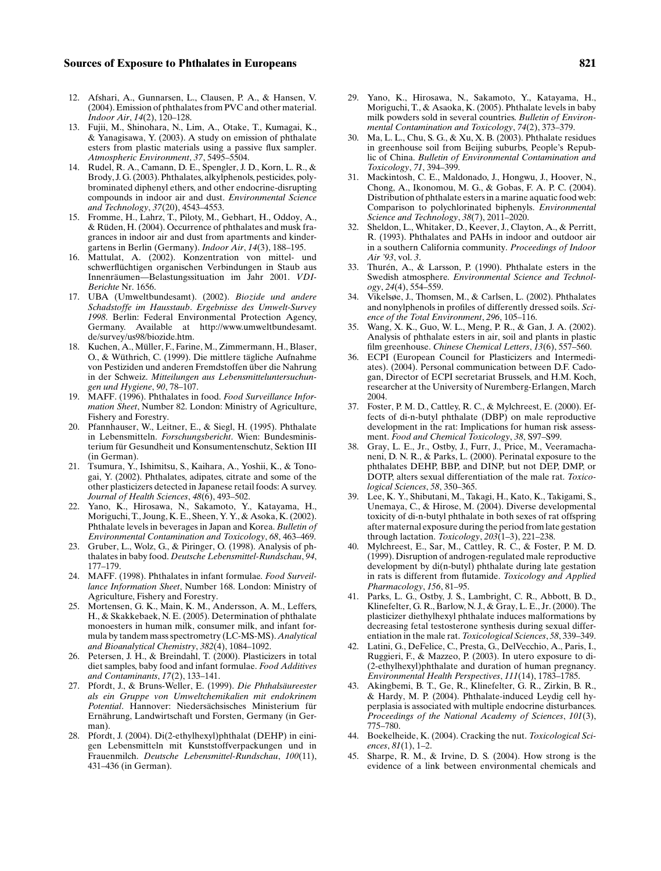- 12. Afshari, A., Gunnarsen, L., Clausen, P. A., & Hansen, V. (2004). Emission of phthalates from PVC and other material. *Indoor Air*, *14*(2), 120–128.
- 13. Fujii, M., Shinohara, N., Lim, A., Otake, T., Kumagai, K., & Yanagisawa, Y. (2003). A study on emission of phthalate esters from plastic materials using a passive flux sampler. *Atmospheric Environment*, *37*, 5495–5504.
- 14. Rudel, R. A., Camann, D. E., Spengler, J. D., Korn, L. R., & Brody, J. G. (2003). Phthalates, alkylphenols, pesticides, polybrominated diphenyl ethers, and other endocrine-disrupting compounds in indoor air and dust. *Environmental Science and Technology*, *37*(20), 4543–4553.
- 15. Fromme, H., Lahrz, T., Piloty, M., Gebhart, H., Oddoy, A., & Rüden, H. (2004). Occurrence of phthalates and musk fragrances in indoor air and dust from apartments and kindergartens in Berlin (Germany). *Indoor Air*, *14*(3), 188–195.
- 16. Mattulat, A. (2002). Konzentration von mittel- und schwerflüchtigen organischen Verbindungen in Staub aus Innenräumen-Belastungssituation im Jahr 2001. VDI-*Berichte* Nr. 1656.
- 17. UBA (Umweltbundesamt). (2002). *Biozide und andere Schadstoffe im Hausstaub*. *Ergebnisse des Umwelt-Survey 1998*. Berlin: Federal Environmental Protection Agency, Germany. Available at http://www.umweltbundesamt. de/survey/us98/biozide.htm.
- 18. Kuchen, A., Müller, F., Farine, M., Zimmermann, H., Blaser, O., & Wüthrich, C. (1999). Die mittlere tägliche Aufnahme von Pestiziden und anderen Fremdstoffen über die Nahrung in der Schweiz. *Mitteilungen aus Lebensmitteluntersuchungen und Hygiene*, *90*, 78–107.
- 19. MAFF. (1996). Phthalates in food. *Food Surveillance Information Sheet*, Number 82. London: Ministry of Agriculture, Fishery and Forestry.
- 20. Pfannhauser, W., Leitner, E., & Siegl, H. (1995). Phthalate in Lebensmitteln. *Forschungsbericht*. Wien: Bundesministerium für Gesundheit und Konsumentenschutz, Sektion III (in German).
- 21. Tsumura, Y., Ishimitsu, S., Kaihara, A., Yoshii, K., & Tonogai, Y. (2002). Phthalates, adipates, citrate and some of the other plasticizers detected in Japanese retail foods: A survey. *Journal of Health Sciences*, *48*(6), 493–502.
- 22. Yano, K., Hirosawa, N., Sakamoto, Y., Katayama, H., Moriguchi, T., Joung, K. E., Sheen, Y. Y., & Asoka, K. (2002). Phthalate levels in beverages in Japan and Korea. *Bulletin of Environmental Contamination and Toxicology*, *68*, 463–469.
- 23. Gruber, L., Wolz, G., & Piringer, O. (1998). Analysis of phthalates in baby food. *Deutsche Lebensmittel-Rundschau*, *94*, 177–179.
- 24. MAFF. (1998). Phthalates in infant formulae. *Food Surveillance Information Sheet*, Number 168. London: Ministry of Agriculture, Fishery and Forestry.
- 25. Mortensen, G. K., Main, K. M., Andersson, A. M., Leffers, H., & Skakkebaek, N. E. (2005). Determination of phthalate monoesters in human milk, consumer milk, and infant formula by tandem mass spectrometry (LC-MS-MS). *Analytical and Bioanalytical Chemistry*, *382*(4), 1084–1092.
- 26. Petersen, J. H., & Breindahl, T. (2000). Plasticizers in total diet samples, baby food and infant formulae. *Food Additives and Contaminants*, *17*(2), 133–141.
- 27. Pfordt, J., & Bruns-Weller, E. (1999). *Die Phthalsaureester ¨ als ein Gruppe von Umweltchemikalien mit endokrinem* Potential. Hannover: Niedersächsisches Ministerium für Ernährung, Landwirtschaft und Forsten, Germany (in German).
- 28. Pfordt, J. (2004). Di(2-ethylhexyl)phthalat (DEHP) in einigen Lebensmitteln mit Kunststoffverpackungen und in Frauenmilch. *Deutsche Lebensmittel-Rundschau*, *100*(11), 431–436 (in German).
- 29. Yano, K., Hirosawa, N., Sakamoto, Y., Katayama, H., Moriguchi, T., & Asaoka, K. (2005). Phthalate levels in baby milk powders sold in several countries. *Bulletin of Environmental Contamination and Toxicology*, *74*(2), 373–379.
- 30. Ma, L. L., Chu, S. G., & Xu, X. B. (2003). Phthalate residues in greenhouse soil from Beijing suburbs, People's Republic of China. *Bulletin of Environmental Contamination and Toxicology*, *71*, 394–399.
- 31. Mackintosh, C. E., Maldonado, J., Hongwu, J., Hoover, N., Chong, A., Ikonomou, M. G., & Gobas, F. A. P. C. (2004). Distribution of phthalate esters in a marine aquatic food web: Comparison to polychlorinated biphenyls. *Environmental Science and Technology*, *38*(7), 2011–2020.
- 32. Sheldon, L., Whitaker, D., Keever, J., Clayton, A., & Perritt, R. (1993). Phthalates and PAHs in indoor and outdoor air in a southern California community. *Proceedings of Indoor Air '93*, vol. *3*.
- 33. Thurén, A., & Larsson, P. (1990). Phthalate esters in the Swedish atmosphere. *Environmental Science and Technology*, *24*(4), 554–559.
- 34. Vikelsøe, J., Thomsen, M., & Carlsen, L. (2002). Phthalates and nonylphenols in profiles of differently dressed soils. *Science of the Total Environment*, *296*, 105–116.
- 35. Wang, X. K., Guo, W. L., Meng, P. R., & Gan, J. A. (2002). Analysis of phthalate esters in air, soil and plants in plastic film greenhouse. *Chinese Chemical Letters*, *13*(6), 557–560.
- ECPI (European Council for Plasticizers and Intermediates). (2004). Personal communication between D.F. Cadogan, Director of ECPI secretariat Brussels, and H.M. Koch, researcher at the University of Nuremberg-Erlangen, March 2004.
- 37. Foster, P. M. D., Cattley, R. C., & Mylchreest, E. (2000). Effects of di-n-butyl phthalate (DBP) on male reproductive development in the rat: Implications for human risk assessment. *Food and Chemical Toxicology*, *38*, S97–S99.
- 38. Gray, L. E., Jr., Ostby, J., Furr, J., Price, M., Veeramachaneni, D. N. R., & Parks, L. (2000). Perinatal exposure to the phthalates DEHP, BBP, and DINP, but not DEP, DMP, or DOTP, alters sexual differentiation of the male rat. *Toxicological Sciences*, *58*, 350–365.
- Lee, K. Y., Shibutani, M., Takagi, H., Kato, K., Takigami, S., Unemaya, C., & Hirose, M. (2004). Diverse developmental toxicity of di-n-butyl phthalate in both sexes of rat offspring after maternal exposure during the period from late gestation through lactation. *Toxicology*, *203*(1–3), 221–238.
- 40. Mylchreest, E., Sar, M., Cattley, R. C., & Foster, P. M. D. (1999). Disruption of androgen-regulated male reproductive development by di(n-butyl) phthalate during late gestation in rats is different from flutamide. *Toxicology and Applied Pharmacology*, *156*, 81–95.
- 41. Parks, L. G., Ostby, J. S., Lambright, C. R., Abbott, B. D., Klinefelter, G. R., Barlow, N. J., & Gray, L. E., Jr. (2000). The plasticizer diethylhexyl phthalate induces malformations by decreasing fetal testosterone synthesis during sexual differentiation in the male rat. *Toxicological Sciences*, *58*, 339–349.
- 42. Latini, G., DeFelice, C., Presta, G., DelVecchio, A., Paris, I., Ruggieri, F., & Mazzeo, P. (2003). In utero exposure to di- (2-ethylhexyl)phthalate and duration of human pregnancy. *Environmental Health Perspectives*, *111*(14), 1783–1785.
- 43. Akingbemi, B. T., Ge, R., Klinefelter, G. R., Zirkin, B. R., & Hardy, M. P. (2004). Phthalate-induced Leydig cell hyperplasia is associated with multiple endocrine disturbances. *Proceedings of the National Academy of Sciences*, *101*(3), 775–780.
- 44. Boekelheide, K. (2004). Cracking the nut. *Toxicological Sciences*, *81*(1), 1–2.
- 45. Sharpe, R. M., & Irvine, D. S. (2004). How strong is the evidence of a link between environmental chemicals and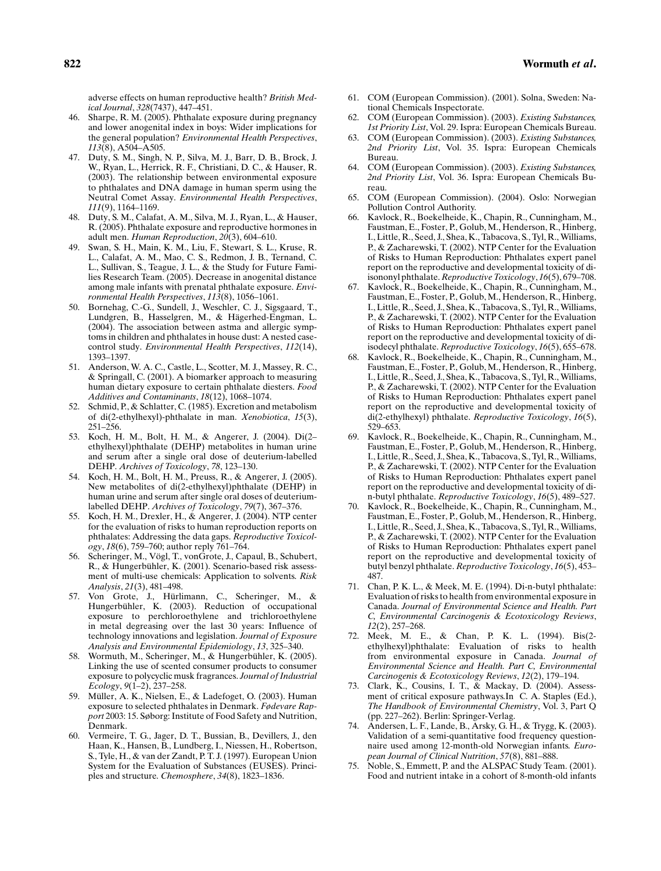adverse effects on human reproductive health? *British Medical Journal*, *328*(7437), 447–451.

- 46. Sharpe, R. M. (2005). Phthalate exposure during pregnancy and lower anogenital index in boys: Wider implications for the general population? *Environmental Health Perspectives*, *113*(8), A504–A505.
- 47. Duty, S. M., Singh, N. P., Silva, M. J., Barr, D. B., Brock, J. W., Ryan, L., Herrick, R. F., Christiani, D. C., & Hauser, R. (2003). The relationship between environmental exposure to phthalates and DNA damage in human sperm using the Neutral Comet Assay. *Environmental Health Perspectives*, *111*(9), 1164–1169.
- 48. Duty, S. M., Calafat, A. M., Silva, M. J., Ryan, L., & Hauser, R. (2005). Phthalate exposure and reproductive hormones in adult men. *Human Reproduction*, *20*(3), 604–610.
- 49. Swan, S. H., Main, K. M., Liu, F., Stewart, S. L., Kruse, R. L., Calafat, A. M., Mao, C. S., Redmon, J. B., Ternand, C. L., Sullivan, S., Teague, J. L., & the Study for Future Families Research Team. (2005). Decrease in anogenital distance among male infants with prenatal phthalate exposure. *Environmental Health Perspectives*, *113*(8), 1056–1061.
- 50. Bornehag, C.-G., Sundell, J., Weschler, C. J., Sigsgaard, T., Lundgren, B., Hasselgren, M., & Hägerhed-Engman, L. (2004). The association between astma and allergic symptoms in children and phthalates in house dust: A nested casecontrol study. *Environmental Health Perspectives*, *112*(14), 1393–1397.
- 51. Anderson, W. A. C., Castle, L., Scotter, M. J., Massey, R. C., & Springall, C. (2001). A biomarker approach to measuring human dietary exposure to certain phthalate diesters. *Food Additives and Contaminants*, *18*(12), 1068–1074.
- 52. Schmid, P., & Schlatter, C. (1985). Excretion and metabolism of di(2-ethylhexyl)-phthalate in man. *Xenobiotica*, *15*(3), 251–256.
- 53. Koch, H. M., Bolt, H. M., & Angerer, J. (2004). Di(2– ethylhexyl)phthalate (DEHP) metabolites in human urine and serum after a single oral dose of deuterium-labelled DEHP. *Archives of Toxicology*, *78*, 123–130.
- 54. Koch, H. M., Bolt, H. M., Preuss, R., & Angerer, J. (2005). New metabolites of di(2-ethylhexyl)phthalate (DEHP) in human urine and serum after single oral doses of deuteriumlabelled DEHP. *Archives of Toxicology*, *79*(7), 367–376.
- 55. Koch, H. M., Drexler, H., & Angerer, J. (2004). NTP center for the evaluation of risks to human reproduction reports on phthalates: Addressing the data gaps. *Reproductive Toxicology*, *18*(6), 759–760; author reply 761–764.
- 56. Scheringer, M., Vögl, T., vonGrote, J., Capaul, B., Schubert, R., & Hungerbühler, K. (2001). Scenario-based risk assessment of multi-use chemicals: Application to solvents. *Risk Analysis*, *21*(3), 481–498.
- 57. Von Grote, J., Hürlimann, C., Scheringer, M., & Hungerbühler, K. (2003). Reduction of occupational exposure to perchloroethylene and trichloroethylene in metal degreasing over the last 30 years: Influence of technology innovations and legislation. *Journal of Exposure Analysis and Environmental Epidemiology*, *13*, 325–340.
- Wormuth, M., Scheringer, M., & Hungerbühler, K. (2005). Linking the use of scented consumer products to consumer exposure to polycyclic musk fragrances. *Journal of Industrial Ecology*, *9*(1–2), 237–258.
- 59. Müller, A. K., Nielsen, E., & Ladefoget, O. (2003). Human exposure to selected phthalates in Denmark. *Fødevare Rapport* 2003: 15. Søborg: Institute of Food Safety and Nutrition, Denmark.
- 60. Vermeire, T. G., Jager, D. T., Bussian, B., Devillers, J., den Haan, K., Hansen, B., Lundberg, I., Niessen, H., Robertson, S., Tyle, H., & van der Zandt, P. T. J. (1997). European Union System for the Evaluation of Substances (EUSES). Principles and structure. *Chemosphere*, *34*(8), 1823–1836.
- 61. COM (European Commission). (2001). Solna, Sweden: National Chemicals Inspectorate.
- 62. COM (European Commission). (2003). *Existing Substances, 1st Priority List*, Vol. 29. Ispra: European Chemicals Bureau.
- 63. COM (European Commission). (2003). *Existing Substances, 2nd Priority List*, Vol. 35. Ispra: European Chemicals Bureau.
- 64. COM (European Commission). (2003). *Existing Substances, 2nd Priority List*, Vol. 36. Ispra: European Chemicals Bureau.
- 65. COM (European Commission). (2004). Oslo: Norwegian Pollution Control Authority.
- 66. Kavlock, R., Boekelheide, K., Chapin, R., Cunningham, M., Faustman, E., Foster, P., Golub, M., Henderson, R., Hinberg, I., Little, R., Seed, J., Shea, K., Tabacova, S., Tyl, R., Williams, P., & Zacharewski, T. (2002). NTP Center for the Evaluation of Risks to Human Reproduction: Phthalates expert panel report on the reproductive and developmental toxicity of diisononyl phthalate. *Reproductive Toxicology*, *16*(5), 679–708.
- 67. Kavlock, R., Boekelheide, K., Chapin, R., Cunningham, M., Faustman, E., Foster, P., Golub, M., Henderson, R., Hinberg, I., Little, R., Seed, J., Shea, K., Tabacova, S., Tyl, R., Williams, P., & Zacharewski, T. (2002). NTP Center for the Evaluation of Risks to Human Reproduction: Phthalates expert panel report on the reproductive and developmental toxicity of diisodecyl phthalate. *Reproductive Toxicology*, *16*(5), 655–678.
- Kavlock, R., Boekelheide, K., Chapin, R., Cunningham, M., Faustman, E., Foster, P., Golub, M., Henderson, R., Hinberg, I., Little, R., Seed, J., Shea, K., Tabacova, S., Tyl, R., Williams, P., & Zacharewski, T. (2002). NTP Center for the Evaluation of Risks to Human Reproduction: Phthalates expert panel report on the reproductive and developmental toxicity of di(2-ethylhexyl) phthalate. *Reproductive Toxicology*, *16*(5), 529–653.
- 69. Kavlock, R., Boekelheide, K., Chapin, R., Cunningham, M., Faustman, E., Foster, P., Golub, M., Henderson, R., Hinberg, I., Little, R., Seed, J., Shea, K., Tabacova, S., Tyl, R., Williams, P., & Zacharewski, T. (2002). NTP Center for the Evaluation of Risks to Human Reproduction: Phthalates expert panel report on the reproductive and developmental toxicity of din-butyl phthalate. *Reproductive Toxicology*, *16*(5), 489–527.
- 70. Kavlock, R., Boekelheide, K., Chapin, R., Cunningham, M., Faustman, E., Foster, P., Golub, M., Henderson, R., Hinberg, I., Little, R., Seed, J., Shea, K., Tabacova, S., Tyl, R., Williams, P., & Zacharewski, T. (2002). NTP Center for the Evaluation of Risks to Human Reproduction: Phthalates expert panel report on the reproductive and developmental toxicity of butyl benzyl phthalate. *Reproductive Toxicology*, *16*(5), 453– 487.
- 71. Chan, P. K. L., & Meek, M. E. (1994). Di-n-butyl phthalate: Evaluation of risks to health from environmental exposure in Canada. *Journal of Environmental Science and Health. Part C, Environmental Carcinogenis & Ecotoxicology Reviews*, *12*(2), 257–268.
- 72. Meek, M. E., & Chan, P. K. L. (1994). Bis(2 ethylhexyl)phthalate: Evaluation of risks to health from environmental exposure in Canada. *Journal of Environmental Science and Health. Part C, Environmental Carcinogenis & Ecotoxicology Reviews*, *12*(2), 179–194.
- 73. Clark, K., Cousins, I. T., & Mackay, D. (2004). Assessment of critical exposure pathways.In C. A. Staples (Ed.), *The Handbook of Environmental Chemistry*, Vol. 3, Part Q (pp. 227–262). Berlin: Springer-Verlag.
- Andersen, L. F., Lande, B., Arsky, G. H., & Trygg, K. (2003). Validation of a semi-quantitative food frequency questionnaire used among 12-month-old Norwegian infants. *European Journal of Clinical Nutrition*, *57*(8), 881–888.
- 75. Noble, S., Emmett, P. and the ALSPAC Study Team. (2001). Food and nutrient intake in a cohort of 8-month-old infants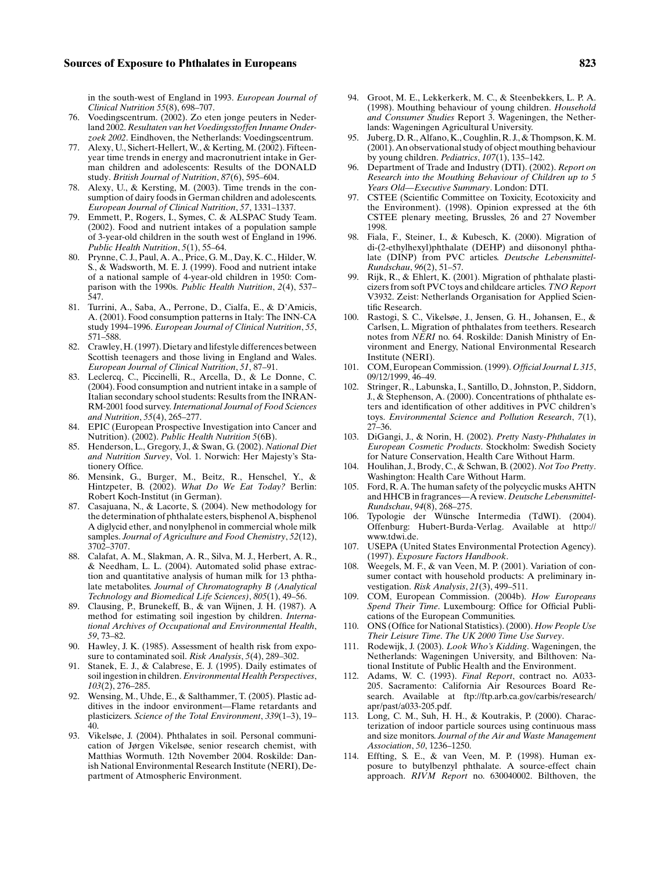in the south-west of England in 1993. *European Journal of Clinical Nutrition 55*(8), 698–707.

- 76. Voedingscentrum. (2002). Zo eten jonge peuters in Nederland 2002. *Resultaten van het Voedingsstoffen Inname Onderzoek 2002*. Eindhoven, the Netherlands: Voedingscentrum.
- 77. Alexy, U., Sichert-Hellert, W., & Kerting, M. (2002). Fifteenyear time trends in energy and macronutrient intake in German children and adolescents: Results of the DONALD study. *British Journal of Nutrition*, *87*(6), 595–604.
- 78. Alexy, U., & Kersting, M. (2003). Time trends in the consumption of dairy foods in German children and adolescents. *European Journal of Clinical Nutrition*, *57*, 1331–1337.
- 79. Emmett, P., Rogers, I., Symes, C. & ALSPAC Study Team. (2002). Food and nutrient intakes of a population sample of 3-year-old children in the south west of England in 1996. *Public Health Nutrition*, *5*(1), 55–64.
- 80. Prynne, C. J., Paul, A. A., Price, G. M., Day, K. C., Hilder, W. S., & Wadsworth, M. E. J. (1999). Food and nutrient intake of a national sample of 4-year-old children in 1950: Comparison with the 1990s. *Public Health Nutrition*, *2*(4), 537– 547.
- 81. Turrini, A., Saba, A., Perrone, D., Cialfa, E., & D'Amicis, A. (2001). Food consumption patterns in Italy: The INN-CA study 1994–1996. *European Journal of Clinical Nutrition*, *55*, 571–588.
- 82. Crawley, H. (1997). Dietary and lifestyle differences between Scottish teenagers and those living in England and Wales. *European Journal of Clinical Nutrition*, *51*, 87–91.
- 83. Leclercq, C., Piccinelli, R., Arcella, D., & Le Donne, C. (2004). Food consumption and nutrient intake in a sample of Italian secondary school students: Results from the INRAN-RM-2001 food survey.*International Journal of Food Sciences and Nutrition*, *55*(4), 265–277.
- 84. EPIC (European Prospective Investigation into Cancer and Nutrition). (2002). *Public Health Nutrition 5*(6B).
- 85. Henderson, L., Gregory, J., & Swan, G. (2002). *National Diet and Nutrition Survey*, Vol. 1. Norwich: Her Majesty's Stationery Office.
- 86. Mensink, G., Burger, M., Beitz, R., Henschel, Y., & Hintzpeter, B. (2002). *What Do We Eat Today?* Berlin: Robert Koch-Institut (in German).
- 87. Casajuana, N., & Lacorte, S. (2004). New methodology for the determination of phthalate esters, bisphenol A, bisphenol A diglycid ether, and nonylphenol in commercial whole milk samples. *Journal of Agriculture and Food Chemistry*, *52*(12), 3702–3707.
- 88. Calafat, A. M., Slakman, A. R., Silva, M. J., Herbert, A. R., & Needham, L. L. (2004). Automated solid phase extraction and quantitative analysis of human milk for 13 phthalate metabolites. *Journal of Chromatography B (Analytical Technology and Biomedical Life Sciences)*, *805*(1), 49–56.
- 89. Clausing, P., Brunekeff, B., & van Wijnen, J. H. (1987). A method for estimating soil ingestion by children. *International Archives of Occupational and Environmental Health*, *59*, 73–82.
- 90. Hawley, J. K. (1985). Assessment of health risk from exposure to contaminated soil. *Risk Analysis*, *5*(4), 289–302.
- 91. Stanek, E. J., & Calabrese, E. J. (1995). Daily estimates of soil ingestion in children. *Environmental Health Perspectives*, *103*(2), 276–285.
- 92. Wensing, M., Uhde, E., & Salthammer, T. (2005). Plastic additives in the indoor environment—Flame retardants and plasticizers. *Science of the Total Environment*, *339*(1–3), 19– 40.
- 93. Vikelsøe, J. (2004). Phthalates in soil. Personal communication of Jørgen Vikelsøe, senior research chemist, with Matthias Wormuth. 12th November 2004. Roskilde: Danish National Environmental Research Institute (NERI), Department of Atmospheric Environment.
- 94. Groot, M. E., Lekkerkerk, M. C., & Steenbekkers, L. P. A. (1998). Mouthing behaviour of young children. *Household and Consumer Studies* Report 3. Wageningen, the Netherlands: Wageningen Agricultural University.
- 95. Juberg, D. R., Alfano, K., Coughlin, R. J., & Thompson, K. M. (2001). An observational study of object mouthing behaviour by young children. *Pediatrics*, *107*(1), 135–142.
- 96. Department of Trade and Industry (DTI). (2002). *Report on Research into the Mouthing Behaviour of Children up to 5 Years Old—Executive Summary*. London: DTI.
- CSTEE (Scientific Committee on Toxicity, Ecotoxicity and the Environment). (1998). Opinion expressed at the 6th CSTEE plenary meeting, Brussles, 26 and 27 November 1998.
- 98. Fiala, F., Steiner, I., & Kubesch, K. (2000). Migration of di-(2-ethylhexyl)phthalate (DEHP) and diisononyl phthalate (DINP) from PVC articles. *Deutsche Lebensmittel-Rundschau*, *96*(2), 51–57.
- 99. Rijk, R., & Ehlert, K. (2001). Migration of phthalate plasticizers from soft PVC toys and childcare articles. *TNO Report* V3932. Zeist: Netherlands Organisation for Applied Scientific Research.
- 100. Rastogi, S. C., Vikelsøe, J., Jensen, G. H., Johansen, E., & Carlsen, L. Migration of phthalates from teethers. Research notes from *NERI* no. 64. Roskilde: Danish Ministry of Environment and Energy, National Environmental Research Institute (NERI).
- 101. COM, European Commission. (1999). *Official Journal L 315*, 09/12/1999, 46–49.
- 102. Stringer, R., Labunska, I., Santillo, D., Johnston, P., Siddorn, J., & Stephenson, A. (2000). Concentrations of phthalate esters and identification of other additives in PVC children's toys. *Environmental Science and Pollution Research*, *7*(1), 27–36.
- 103. DiGangi, J., & Norin, H. (2002). *Pretty Nasty-Phthalates in European Cosmetic Products*. Stockholm: Swedish Society for Nature Conservation, Health Care Without Harm.
- 104. Houlihan, J., Brody, C., & Schwan, B. (2002). *Not Too Pretty*. Washington: Health Care Without Harm.
- 105. Ford, R. A. The human safety of the polycyclic musks AHTN and HHCB in fragrances—A review. *Deutsche Lebensmittel-Rundschau*, *94*(8), 268–275.
- 106. Typologie der Wünsche Intermedia (TdWI). (2004). Offenburg: Hubert-Burda-Verlag. Available at http:// www.tdwi.de.
- 107. USEPA (United States Environmental Protection Agency). (1997). *Exposure Factors Handbook*.
- 108. Weegels, M. F., & van Veen, M. P. (2001). Variation of consumer contact with household products: A preliminary investigation. *Risk Analysis*, *21*(3), 499–511.
- 109. COM, European Commission. (2004b). *How Europeans* Spend Their Time. Luxembourg: Office for Official Publications of the European Communities.
- 110. ONS (Office for National Statistics). (2000). *How People Use Their Leisure Time*. *The UK 2000 Time Use Survey*.
- 111. Rodewijk, J. (2003). *Look Who's Kidding*. Wageningen, the Netherlands: Wageningen University, and Bilthoven: National Institute of Public Health and the Environment.
- 112. Adams, W. C. (1993). *Final Report*, contract no. A033- 205. Sacramento: California Air Resources Board Research. Available at ftp://ftp.arb.ca.gov/carbis/research/ apr/past/a033-205.pdf.
- 113. Long, C. M., Suh, H. H., & Koutrakis, P. (2000). Characterization of indoor particle sources using continuous mass and size monitors. *Journal of the Air and Waste Management Association*, *50*, 1236–1250.
- 114. Effting, S. E., & van Veen, M. P. (1998). Human exposure to butylbenzyl phthalate. A source-effect chain approach. *RIVM Report* no. 630040002. Bilthoven, the